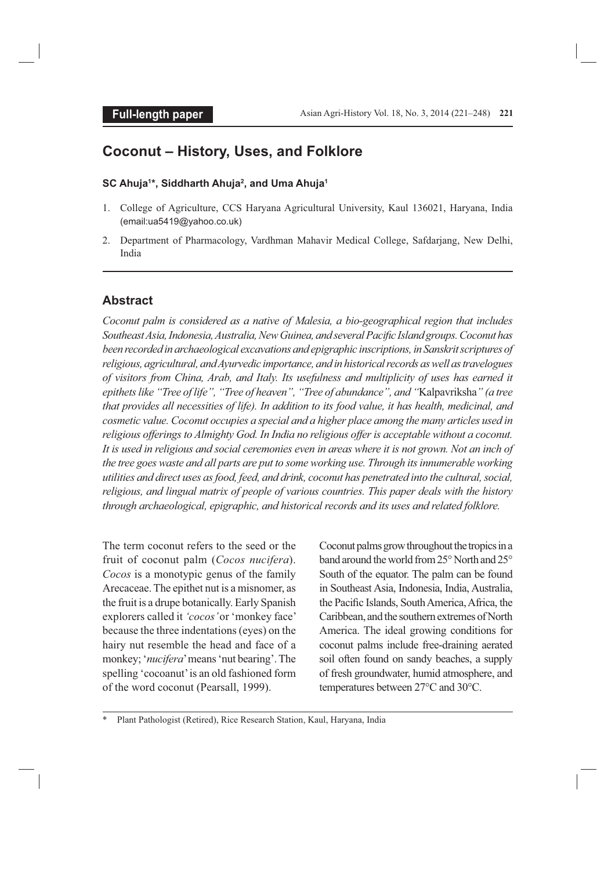# **Coconut – History, Uses, and Folklore**

#### **SC Ahuja1 \*, Siddharth Ahuja2 , and Uma Ahuja1**

- 1. College of Agriculture, CCS Haryana Agricultural University, Kaul 136021, Haryana, India (email:ua5419@yahoo.co.uk)
- 2. Department of Pharmacology, Vardhman Mahavir Medical College, Safdarjang, New Delhi, India

# **Abstract**

*Coconut palm is considered as a native of Malesia, a bio-geographical region that includes Southeast Asia, Indonesia, Australia, New Guinea, and several Pacifi c Island groups. Coconut has been recorded in archaeological excavations and epigraphic inscriptions, in Sanskrit scriptures of religious, agricultural, and Ayurvedic importance, and in historical records as well as travelogues of visitors from China, Arab, and Italy. Its usefulness and multiplicity of uses has earned it epithets like "Tree of life", "Tree of heaven", "Tree of abundance", and "*Kalpavriksha*" (a tree that provides all necessities of life). In addition to its food value, it has health, medicinal, and cosmetic value. Coconut occupies a special and a higher place among the many articles used in religious offerings to Almighty God. In India no religious offer is acceptable without a coconut. It is used in religious and social ceremonies even in areas where it is not grown. Not an inch of the tree goes waste and all parts are put to some working use. Through its innumerable working utilities and direct uses as food, feed, and drink, coconut has penetrated into the cultural, social, religious, and lingual matrix of people of various countries. This paper deals with the history through archaeological, epigraphic, and historical records and its uses and related folklore.*

The term coconut refers to the seed or the fruit of coconut palm (*Cocos nucifera*). *Cocos* is a monotypic genus of the family Arecaceae. The epithet nut is a misnomer, as the fruit is a drupe botanically. Early Spanish explorers called it *'cocos'* or 'monkey face' because the three indentations (eyes) on the hairy nut resemble the head and face of a monkey; '*nucifera*' means 'nut bearing'. The spelling 'cocoanut' is an old fashioned form of the word coconut (Pearsall, 1999).

Coconut palms grow throughout the tropics in a band around the world from 25° North and 25° South of the equator. The palm can be found in Southeast Asia, Indonesia, India, Australia, the Pacific Islands, South America, Africa, the Caribbean, and the southern extremes of North America. The ideal growing conditions for coconut palms include free-draining aerated soil often found on sandy beaches, a supply of fresh groundwater, humid atmosphere, and temperatures between 27°C and 30°C.

Plant Pathologist (Retired), Rice Research Station, Kaul, Haryana, India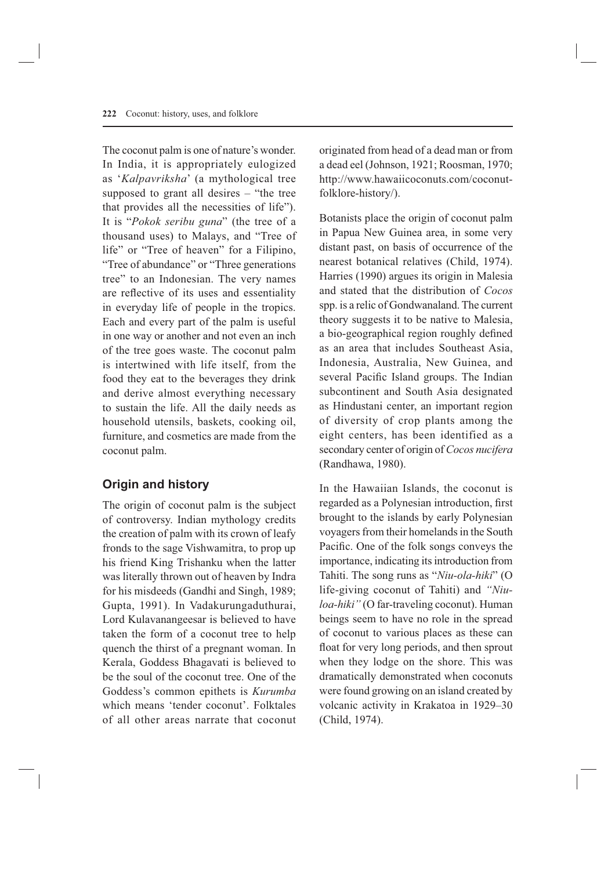The coconut palm is one of nature's wonder. In India, it is appropriately eulogized as '*Kalpavriksha*' (a mythological tree supposed to grant all desires – "the tree that provides all the necessities of life"). It is "*Pokok seribu guna*" (the tree of a thousand uses) to Malays, and "Tree of life" or "Tree of heaven" for a Filipino, "Tree of abundance" or "Three generations tree" to an Indonesian. The very names are reflective of its uses and essentiality in everyday life of people in the tropics. Each and every part of the palm is useful in one way or another and not even an inch of the tree goes waste. The coconut palm is intertwined with life itself, from the food they eat to the beverages they drink and derive almost everything necessary to sustain the life. All the daily needs as household utensils, baskets, cooking oil, furniture, and cosmetics are made from the coconut palm.

# **Origin and history**

The origin of coconut palm is the subject of controversy. Indian mythology credits the creation of palm with its crown of leafy fronds to the sage Vishwamitra, to prop up his friend King Trishanku when the latter was literally thrown out of heaven by Indra for his misdeeds (Gandhi and Singh, 1989; Gupta, 1991). In Vadakurungaduthurai, Lord Kulavanangeesar is believed to have taken the form of a coconut tree to help quench the thirst of a pregnant woman. In Kerala, Goddess Bhagavati is believed to be the soul of the coconut tree. One of the Goddess's common epithets is *Kurumba* which means 'tender coconut'. Folktales of all other areas narrate that coconut originated from head of a dead man or from a dead eel (Johnson, 1921; Roosman, 1970; http://www.hawaiicoconuts.com/coconutfolklore-history/).

Botanists place the origin of coconut palm in Papua New Guinea area, in some very distant past, on basis of occurrence of the nearest botanical relatives (Child, 1974). Harries (1990) argues its origin in Malesia and stated that the distribution of *Cocos* spp. is a relic of Gondwanaland. The current theory suggests it to be native to Malesia, a bio-geographical region roughly defined as an area that includes Southeast Asia, Indonesia, Australia, New Guinea, and several Pacific Island groups. The Indian subcontinent and South Asia designated as Hindustani center, an important region of diversity of crop plants among the eight centers, has been identified as a secondary center of origin of *Cocos nucifera* (Randhawa, 1980).

In the Hawaiian Islands, the coconut is regarded as a Polynesian introduction, first brought to the islands by early Polynesian voyagers from their homelands in the South Pacific. One of the folk songs conveys the importance, indicating its introduction from Tahiti. The song runs as "*Niu-ola-hiki*" (O life-giving coconut of Tahiti) and *"Niuloa-hiki"* (O far-traveling coconut). Human beings seem to have no role in the spread of coconut to various places as these can float for very long periods, and then sprout when they lodge on the shore. This was dramatically demonstrated when coconuts were found growing on an island created by volcanic activity in Krakatoa in 1929–30 (Child, 1974).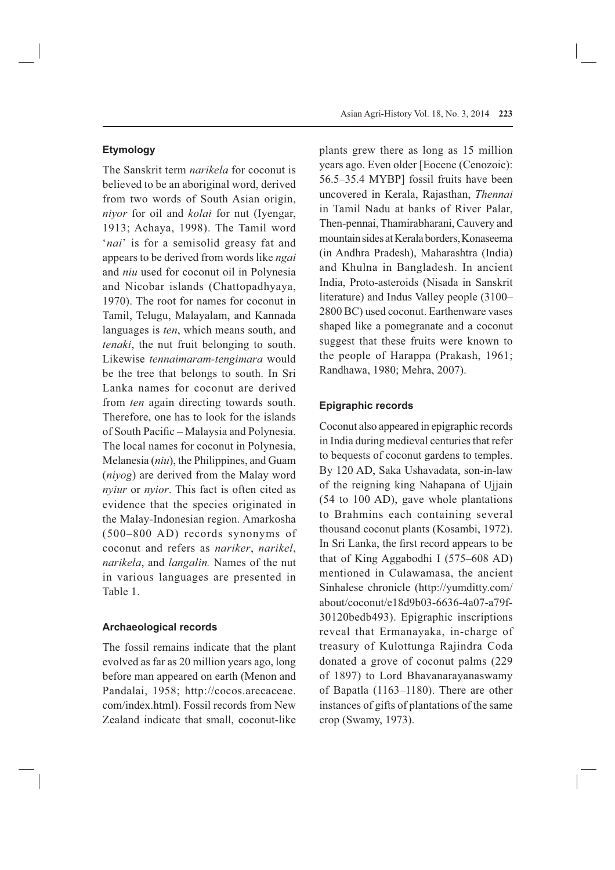The Sanskrit term *narikela* for coconut is believed to be an aboriginal word, derived from two words of South Asian origin, *niyor* for oil and *kolai* for nut (Iyengar, 1913; Achaya, 1998). The Tamil word '*nai*' is for a semisolid greasy fat and appears to be derived from words like *ngai*  and *niu* used for coconut oil in Polynesia and Nicobar islands (Chattopadhyaya, 1970). The root for names for coconut in Tamil, Telugu, Malayalam, and Kannada languages is *ten*, which means south, and *tenaki*, the nut fruit belonging to south. Likewise *tennaimaram-tengimara* would be the tree that belongs to south. In Sri Lanka names for coconut are derived from *ten* again directing towards south. Therefore, one has to look for the islands of South Pacific – Malaysia and Polynesia. The local names for coconut in Polynesia, Melanesia (*niu*), the Philippines, and Guam (*niyog*) are derived from the Malay word *nyiur* or *nyior*. This fact is often cited as evidence that the species originated in the Malay-Indonesian region. Amarkosha (500–800 AD) records synonyms of coconut and refers as *nariker*, *narikel*, *narikela*, and *langalin.* Names of the nut in various languages are presented in Table 1.

## **Archaeological records**

The fossil remains indicate that the plant evolved as far as 20 million years ago, long before man appeared on earth (Menon and Pandalai, 1958; http://cocos.arecaceae. com/index.html). Fossil records from New Zealand indicate that small, coconut-like plants grew there as long as 15 million years ago. Even older [Eocene (Cenozoic): 56.5–35.4 MYBP] fossil fruits have been uncovered in Kerala, Rajasthan, *Thennai* in Tamil Nadu at banks of River Palar, Then-pennai, Thamirabharani, Cauvery and mountain sides at Kerala borders, Konaseema (in Andhra Pradesh), Maharashtra (India) and Khulna in Bangladesh. In ancient India, Proto-asteroids (Nisada in Sanskrit literature) and Indus Valley people (3100– 2800 BC) used coconut. Earthenware vases shaped like a pomegranate and a coconut suggest that these fruits were known to the people of Harappa (Prakash, 1961; Randhawa, 1980; Mehra, 2007).

#### **Epigraphic records**

Coconut also appeared in epigraphic records in India during medieval centuries that refer to bequests of coconut gardens to temples. By 120 AD, Saka Ushavadata, son-in-law of the reigning king Nahapana of Ujjain (54 to 100 AD), gave whole plantations to Brahmins each containing several thousand coconut plants (Kosambi, 1972). In Sri Lanka, the first record appears to be that of King Aggabodhi I (575–608 AD) mentioned in Culawamasa, the ancient Sinhalese chronicle (http://yumditty.com/ about/coconut/e18d9b03-6636-4a07-a79f-30120bedb493). Epigraphic inscriptions reveal that Ermanayaka, in-charge of treasury of Kulottunga Rajindra Coda donated a grove of coconut palms (229 of 1897) to Lord Bhavanarayanaswamy of Bapatla (1163–1180). There are other instances of gifts of plantations of the same crop (Swamy, 1973).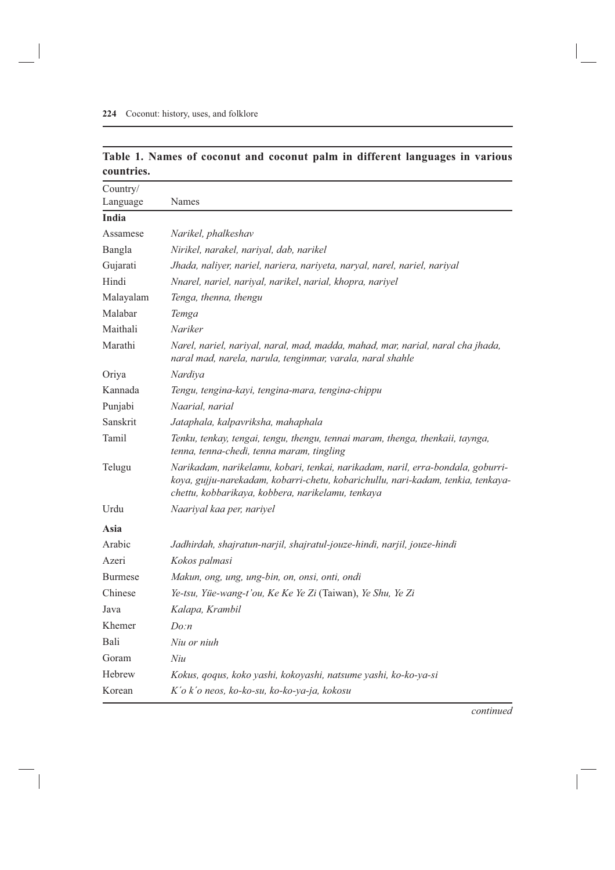|            |  |  |  |  | Table 1. Names of coconut and coconut palm in different languages in various |  |
|------------|--|--|--|--|------------------------------------------------------------------------------|--|
| countries. |  |  |  |  |                                                                              |  |

| Country/       |                                                                                                                                                                                                                          |
|----------------|--------------------------------------------------------------------------------------------------------------------------------------------------------------------------------------------------------------------------|
| Language       | Names                                                                                                                                                                                                                    |
| India          |                                                                                                                                                                                                                          |
| Assamese       | Narikel, phalkeshav                                                                                                                                                                                                      |
| Bangla         | Nirikel, narakel, nariyal, dab, narikel                                                                                                                                                                                  |
| Gujarati       | Jhada, naliyer, nariel, nariera, nariyeta, naryal, narel, nariel, nariyal                                                                                                                                                |
| Hindi          | Nnarel, nariel, nariyal, narikel, narial, khopra, nariyel                                                                                                                                                                |
| Malayalam      | Tenga, thenna, thengu                                                                                                                                                                                                    |
| Malabar        | Temga                                                                                                                                                                                                                    |
| Maithali       | Nariker                                                                                                                                                                                                                  |
| Marathi        | Narel, nariel, nariyal, naral, mad, madda, mahad, mar, narial, naral cha jhada,<br>naral mad, narela, narula, tenginmar, varala, naral shahle                                                                            |
| Oriya          | Nardiya                                                                                                                                                                                                                  |
| Kannada        | Tengu, tengina-kayi, tengina-mara, tengina-chippu                                                                                                                                                                        |
| Punjabi        | Naarial, narial                                                                                                                                                                                                          |
| Sanskrit       | Jataphala, kalpavriksha, mahaphala                                                                                                                                                                                       |
| Tamil          | Tenku, tenkay, tengai, tengu, thengu, tennai maram, thenga, thenkaii, taynga,<br>tenna, tenna-chedi, tenna maram, tingling                                                                                               |
| Telugu         | Narikadam, narikelamu, kobari, tenkai, narikadam, naril, erra-bondala, goburri-<br>koya, gujju-narekadam, kobarri-chetu, kobarichullu, nari-kadam, tenkia, tenkaya-<br>chettu, kobbarikaya, kobbera, narikelamu, tenkaya |
| Urdu           | Naariyal kaa per, nariyel                                                                                                                                                                                                |
| Asia           |                                                                                                                                                                                                                          |
| Arabic         | Jadhirdah, shajratun-narjil, shajratul-jouze-hindi, narjil, jouze-hindi                                                                                                                                                  |
| Azeri          | Kokos palmasi                                                                                                                                                                                                            |
| <b>Burmese</b> | Makun, ong, ung, ung-bin, on, onsi, onti, ondi                                                                                                                                                                           |
| Chinese        | Ye-tsu, Yüe-wang-t'ou, Ke Ke Ye Zi (Taiwan), Ye Shu, Ye Zi                                                                                                                                                               |
| Java           | Kalapa, Krambil                                                                                                                                                                                                          |
| Khemer         | $D^{o:n}$                                                                                                                                                                                                                |
| Bali           | Niu or niuh                                                                                                                                                                                                              |
| Goram          | Niu                                                                                                                                                                                                                      |
| Hebrew         | Kokus, qoqus, koko yashi, kokoyashi, natsume yashi, ko-ko-ya-si                                                                                                                                                          |
| Korean         | K'o k'o neos, ko-ko-su, ko-ko-ya-ja, kokosu                                                                                                                                                                              |

*continued*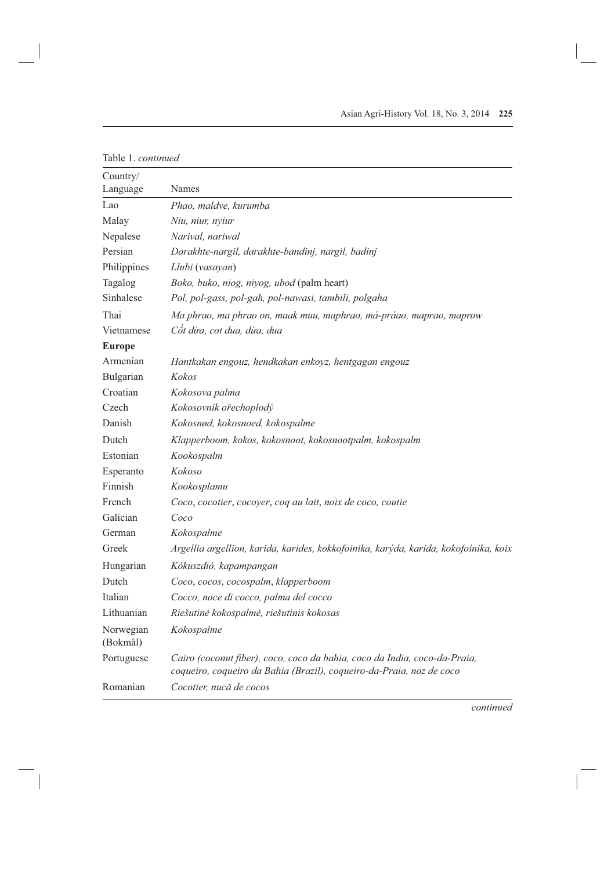| Table 1. continued    |                                                                                                                                                   |  |  |
|-----------------------|---------------------------------------------------------------------------------------------------------------------------------------------------|--|--|
| Country/<br>Language  | Names                                                                                                                                             |  |  |
| Lao                   | Phao, maldve, kurumba                                                                                                                             |  |  |
| Malay                 | Niu, niur, nyiur                                                                                                                                  |  |  |
| Nepalese              | Narival, nariwal                                                                                                                                  |  |  |
| Persian               | Darakhte-nargil, darakhte-bandinj, nargil, badinj                                                                                                 |  |  |
| Philippines           | Llubi (vasayan)                                                                                                                                   |  |  |
| Tagalog               | Boko, buko, niog, niyog, ubod (palm heart)                                                                                                        |  |  |
| Sinhalese             | Pol, pol-gass, pol-gah, pol-nawasi, tambili, polgaha                                                                                              |  |  |
| Thai                  | Ma phrao, ma phrao on, maak muu, maphrao, má-práao, maprao, maprow                                                                                |  |  |
| Vietnamese            | Cốt dừa, cot dua, dừa, dua                                                                                                                        |  |  |
| <b>Europe</b>         |                                                                                                                                                   |  |  |
| Armenian              | Hantkakan engouz, hendkakan enkoyz, hentgagan engouz                                                                                              |  |  |
| Bulgarian             | <b>Kokos</b>                                                                                                                                      |  |  |
| Croatian              | Kokosova palma                                                                                                                                    |  |  |
| Czech                 | Kokosovník ořechoplodý                                                                                                                            |  |  |
| Danish                | Kokosnød, kokosnoed, kokospalme                                                                                                                   |  |  |
| Dutch                 | Klapperboom, kokos, kokosnoot, kokosnootpalm, kokospalm                                                                                           |  |  |
| Estonian              | Kookospalm                                                                                                                                        |  |  |
| Esperanto             | Kokoso                                                                                                                                            |  |  |
| Finnish               | Kookosplamu                                                                                                                                       |  |  |
| French                | Coco, cocotier, cocoyer, coq au lait, noix de coco, coutie                                                                                        |  |  |
| Galician              | Coco                                                                                                                                              |  |  |
| German                | Kokospalme                                                                                                                                        |  |  |
| Greek                 | Argellia argellion, karida, karides, kokkofoinika, karýda, karida, kokofoínika, koix                                                              |  |  |
| Hungarian             | Kókuszdió, kapampangan                                                                                                                            |  |  |
| Dutch                 | Coco, cocos, cocospalm, klapperboom                                                                                                               |  |  |
| Italian               | Cocco, noce di cocco, palma del cocco                                                                                                             |  |  |
| Lithuanian            | Riešutinė kokospalmė, riešutinis kokosas                                                                                                          |  |  |
| Norwegian<br>(Bokmål) | Kokospalme                                                                                                                                        |  |  |
| Portuguese            | Cairo (coconut fiber), coco, coco da bahia, coco da India, coco-da-Praia,<br>coqueiro, coqueiro da Bahia (Brazil), coqueiro-da-Praia, noz de coco |  |  |
| Romanian              | Cocotier, nucă de cocos                                                                                                                           |  |  |

*continued*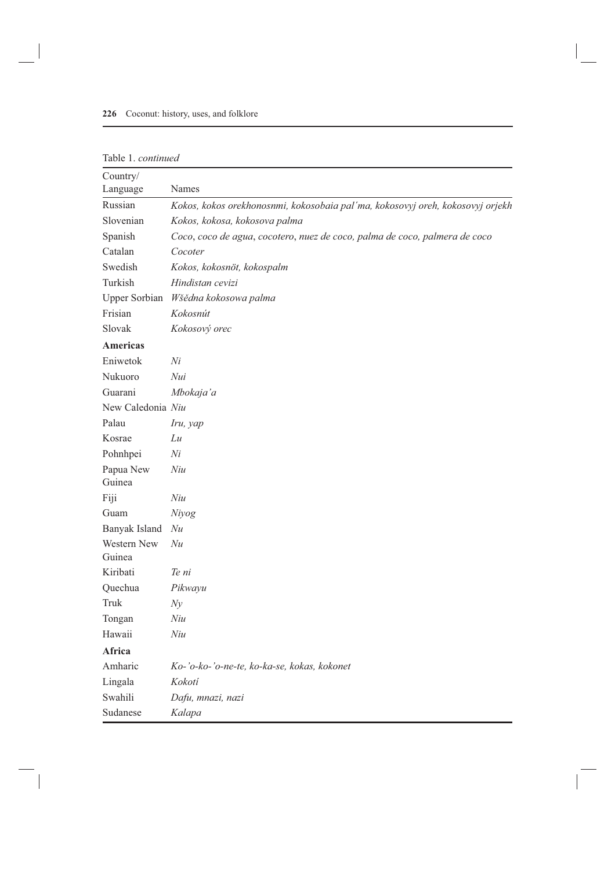|  | Table 1. continued |
|--|--------------------|

| Country/          |                                                                                |
|-------------------|--------------------------------------------------------------------------------|
| Language          | Names                                                                          |
| Russian           | Kokos, kokos orekhonosnmi, kokosobaia pal'ma, kokosovyj oreh, kokosovyj orjekh |
| Slovenian         | Kokos, kokosa, kokosova palma                                                  |
| Spanish           | Coco, coco de agua, cocotero, nuez de coco, palma de coco, palmera de coco     |
| Catalan           | Cocoter                                                                        |
| Swedish           | Kokos, kokosnöt, kokospalm                                                     |
| Turkish           | Hindistan cevizi                                                               |
|                   | Upper Sorbian Wšědna kokosowa palma                                            |
| Frisian           | Kokosnút                                                                       |
| Slovak            | Kokosový orec                                                                  |
| <b>Americas</b>   |                                                                                |
| Eniwetok          | Ni                                                                             |
| Nukuoro           | Nui                                                                            |
| Guarani           | Mbokaja'a                                                                      |
| New Caledonia Niu |                                                                                |
| Palau             | Iru, yap                                                                       |
| Kosrae            | Lu                                                                             |
| Pohnhpei          | Ni                                                                             |
| Papua New         | Niu                                                                            |
| Guinea            |                                                                                |
| Fiji              | Niu                                                                            |
| Guam              | Niyog                                                                          |
| Banyak Island     | Nu                                                                             |
| Western New       | Nu                                                                             |
| Guinea            |                                                                                |
| Kiribati          | Te ni                                                                          |
| Quechua           | Pikwayu                                                                        |
| Truk              | Ny                                                                             |
| Tongan            | Niu                                                                            |
| Hawaii            | Niu                                                                            |
| Africa            |                                                                                |
| Amharic           | Ko-'o-ko-'o-ne-te, ko-ka-se, kokas, kokonet                                    |
| Lingala           | Kokotí                                                                         |
| Swahili           | Dafu, mnazi, nazi                                                              |
| Sudanese          | Kalapa                                                                         |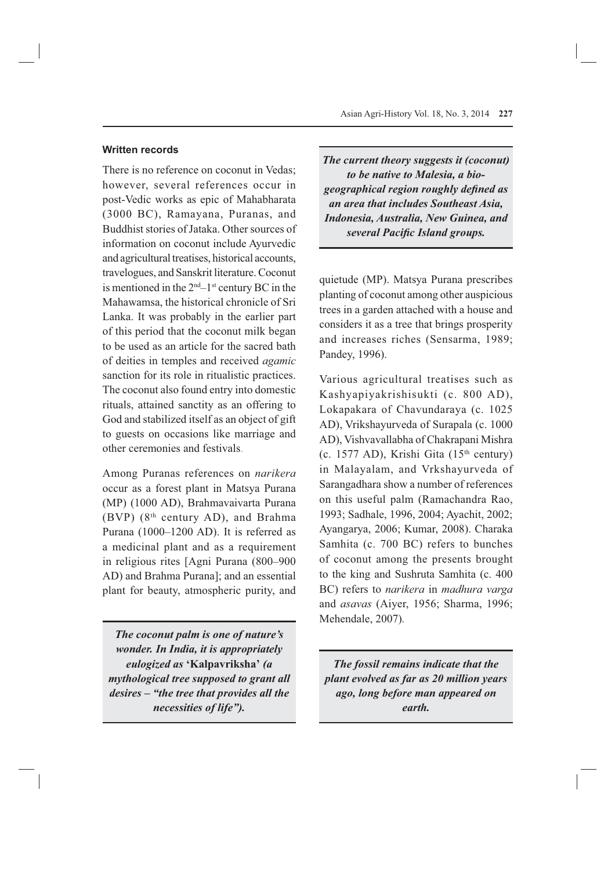### **Written records**

There is no reference on coconut in Vedas; however, several references occur in post-Vedic works as epic of Mahabharata (3000 BC), Ramayana, Puranas, and Buddhist stories of Jataka. Other sources of information on coconut include Ayurvedic and agricultural treatises, historical accounts, travelogues, and Sanskrit literature. Coconut is mentioned in the  $2<sup>nd</sup> - 1<sup>st</sup>$  century BC in the Mahawamsa, the historical chronicle of Sri Lanka. It was probably in the earlier part of this period that the coconut milk began to be used as an article for the sacred bath of deities in temples and received *agamic* sanction for its role in ritualistic practices. The coconut also found entry into domestic rituals, attained sanctity as an offering to God and stabilized itself as an object of gift to guests on occasions like marriage and other ceremonies and festivals.

Among Puranas references on *narikera*  occur as a forest plant in Matsya Purana (MP) (1000 AD), Brahmavaivarta Purana (BVP) (8th century AD), and Brahma Purana (1000–1200 AD). It is referred as a medicinal plant and as a requirement in religious rites [Agni Purana (800–900 AD) and Brahma Purana]; and an essential plant for beauty, atmospheric purity, and

*The coconut palm is one of nature's wonder. In India, it is appropriately eulogized as* **'Kalpavriksha'** *(a mythological tree supposed to grant all desires – "the tree that provides all the necessities of life").*

*The current theory suggests it (coconut) to be native to Malesia, a biogeographical region roughly defi ned as an area that includes Southeast Asia, Indonesia, Australia, New Guinea, and several Pacific Island groups.* 

quietude (MP). Matsya Purana prescribes planting of coconut among other auspicious trees in a garden attached with a house and considers it as a tree that brings prosperity and increases riches (Sensarma, 1989; Pandey, 1996).

Various agricultural treatises such as Kashyapiyakrishisukti (c. 800 AD), Lokapakara of Chavundaraya (c. 1025 AD), Vrikshayurveda of Surapala (c. 1000 AD), Vishvavallabha of Chakrapani Mishra (c. 1577 AD), Krishi Gita  $(15<sup>th</sup>$  century) in Malayalam, and Vrkshayurveda of Sarangadhara show a number of references on this useful palm (Ramachandra Rao, 1993; Sadhale, 1996, 2004; Ayachit, 2002; Ayangarya, 2006; Kumar, 2008). Charaka Samhita (c. 700 BC) refers to bunches of coconut among the presents brought to the king and Sushruta Samhita (c. 400 BC) refers to *narikera* in *madhura varga*  and *asavas* (Aiyer, 1956; Sharma, 1996; Mehendale, 2007)*.*

*The fossil remains indicate that the plant evolved as far as 20 million years ago, long before man appeared on earth.*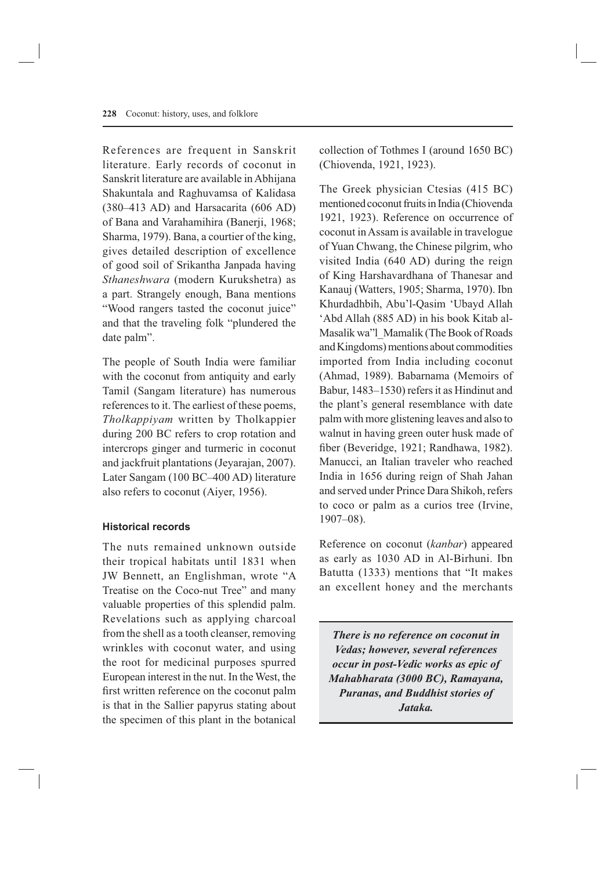References are frequent in Sanskrit literature. Early records of coconut in Sanskrit literature are available in Abhijana Shakuntala and Raghuvamsa of Kalidasa (380–413 AD) and Harsacarita (606 AD) of Bana and Varahamihira (Banerji, 1968; Sharma, 1979). Bana, a courtier of the king, gives detailed description of excellence of good soil of Srikantha Janpada having *Sthaneshwara* (modern Kurukshetra) as a part. Strangely enough, Bana mentions "Wood rangers tasted the coconut juice" and that the traveling folk "plundered the date palm".

The people of South India were familiar with the coconut from antiquity and early Tamil (Sangam literature) has numerous references to it. The earliest of these poems, *Tholkappiyam* written by Tholkappier during 200 BC refers to crop rotation and intercrops ginger and turmeric in coconut and jackfruit plantations (Jeyarajan, 2007). Later Sangam (100 BC–400 AD) literature also refers to coconut (Aiyer, 1956).

#### **Historical records**

The nuts remained unknown outside their tropical habitats until 1831 when JW Bennett, an Englishman, wrote "A Treatise on the Coco-nut Tree" and many valuable properties of this splendid palm. Revelations such as applying charcoal from the shell as a tooth cleanser, removing wrinkles with coconut water, and using the root for medicinal purposes spurred European interest in the nut. In the West, the first written reference on the coconut palm is that in the Sallier papyrus stating about the specimen of this plant in the botanical collection of Tothmes I (around 1650 BC) (Chiovenda, 1921, 1923).

The Greek physician Ctesias (415 BC) mentioned coconut fruits in India (Chiovenda 1921, 1923). Reference on occurrence of coconut in Assam is available in travelogue of Yuan Chwang, the Chinese pilgrim, who visited India (640 AD) during the reign of King Harshavardhana of Thanesar and Kanauj (Watters, 1905; Sharma, 1970). Ibn Khurdadhbih, Abu'l-Qasim 'Ubayd Allah 'Abd Allah (885 AD) in his book Kitab al-Masalik wa"l\_Mamalik (The Book of Roads and Kingdoms) mentions about commodities imported from India including coconut (Ahmad, 1989). Babarnama (Memoirs of Babur, 1483–1530) refers it as Hindinut and the plant's general resemblance with date palm with more glistening leaves and also to walnut in having green outer husk made of fiber (Beveridge, 1921; Randhawa, 1982). Manucci, an Italian traveler who reached India in 1656 during reign of Shah Jahan and served under Prince Dara Shikoh, refers to coco or palm as a curios tree (Irvine, 1907–08).

Reference on coconut (*kanbar*) appeared as early as 1030 AD in Al-Birhuni. Ibn Batutta (1333) mentions that "It makes an excellent honey and the merchants

*There is no reference on coconut in Vedas; however, several references occur in post-Vedic works as epic of Mahabharata (3000 BC), Ramayana, Puranas, and Buddhist stories of Jataka.*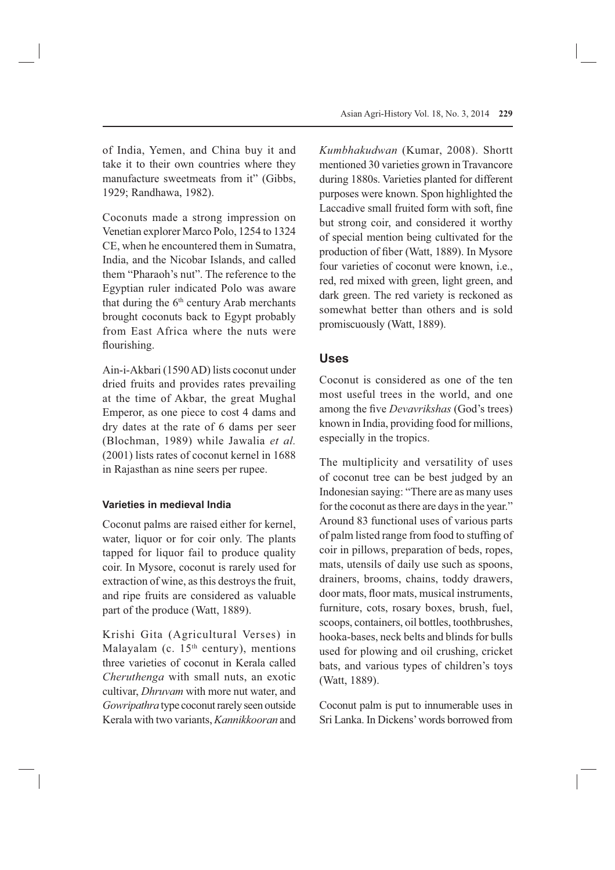of India, Yemen, and China buy it and take it to their own countries where they manufacture sweetmeats from it" (Gibbs, 1929; Randhawa, 1982).

Coconuts made a strong impression on Venetian explorer Marco Polo, 1254 to 1324 CE, when he encountered them in Sumatra, India, and the Nicobar Islands, and called them "Pharaoh's nut". The reference to the Egyptian ruler indicated Polo was aware that during the  $6<sup>th</sup>$  century Arab merchants brought coconuts back to Egypt probably from East Africa where the nuts were flourishing.

Ain-i-Akbari (1590 AD) lists coconut under dried fruits and provides rates prevailing at the time of Akbar, the great Mughal Emperor, as one piece to cost 4 dams and dry dates at the rate of 6 dams per seer (Blochman, 1989) while Jawalia *et al.* (2001) lists rates of coconut kernel in 1688 in Rajasthan as nine seers per rupee.

## **Varieties in medieval India**

Coconut palms are raised either for kernel, water, liquor or for coir only. The plants tapped for liquor fail to produce quality coir. In Mysore, coconut is rarely used for extraction of wine, as this destroys the fruit, and ripe fruits are considered as valuable part of the produce (Watt, 1889).

Krishi Gita (Agricultural Verses) in Malayalam (c.  $15<sup>th</sup>$  century), mentions three varieties of coconut in Kerala called *Cheruthenga* with small nuts, an exotic cultivar, *Dhruvam* with more nut water, and *Gowripathra* type coconut rarely seen outside Kerala with two variants, *Kannikkooran* and *Kumbhakudwan* (Kumar, 2008). Shortt mentioned 30 varieties grown in Travancore during 1880s. Varieties planted for different purposes were known. Spon highlighted the Laccadive small fruited form with soft, fine but strong coir, and considered it worthy of special mention being cultivated for the production of fiber (Watt, 1889). In Mysore four varieties of coconut were known, i.e., red, red mixed with green, light green, and dark green. The red variety is reckoned as somewhat better than others and is sold promiscuously (Watt, 1889).

# **Uses**

Coconut is considered as one of the ten most useful trees in the world, and one among the five *Devavrikshas* (God's trees) known in India, providing food for millions, especially in the tropics.

The multiplicity and versatility of uses of coconut tree can be best judged by an Indonesian saying: "There are as many uses for the coconut as there are days in the year." Around 83 functional uses of various parts of palm listed range from food to stuffing of coir in pillows, preparation of beds, ropes, mats, utensils of daily use such as spoons, drainers, brooms, chains, toddy drawers, door mats, floor mats, musical instruments, furniture, cots, rosary boxes, brush, fuel, scoops, containers, oil bottles, toothbrushes, hooka-bases, neck belts and blinds for bulls used for plowing and oil crushing, cricket bats, and various types of children's toys (Watt, 1889).

Coconut palm is put to innumerable uses in Sri Lanka. In Dickens' words borrowed from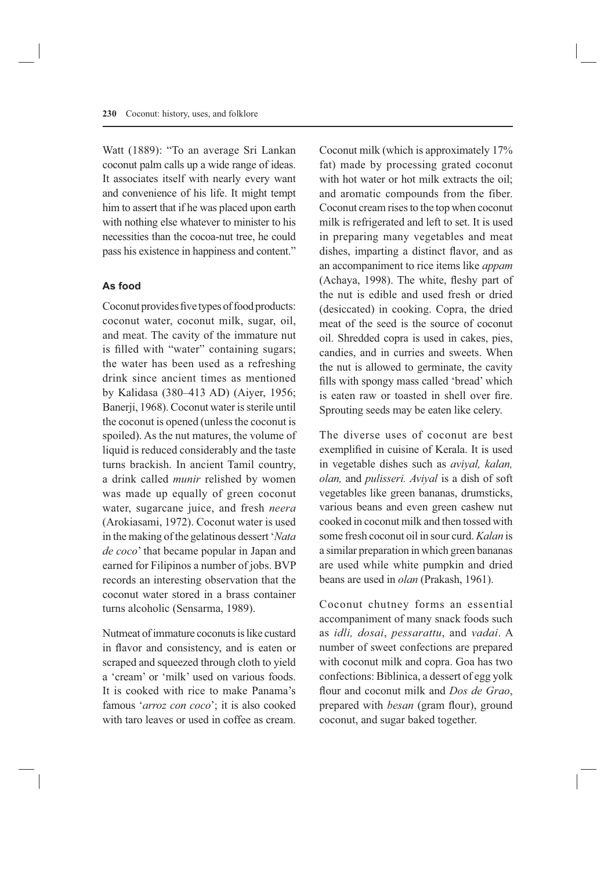Watt (1889): "To an average Sri Lankan coconut palm calls up a wide range of ideas. It associates itself with nearly every want and convenience of his life. It might tempt him to assert that if he was placed upon earth with nothing else whatever to minister to his necessities than the cocoa-nut tree, he could pass his existence in happiness and content."

### **As food**

Coconut provides five types of food products: coconut water, coconut milk, sugar, oil, and meat. The cavity of the immature nut is filled with "water" containing sugars; the water has been used as a refreshing drink since ancient times as mentioned by Kalidasa (380–413 AD) (Aiyer, 1956; Banerji, 1968). Coconut water is sterile until the coconut is opened (unless the coconut is spoiled). As the nut matures, the volume of liquid is reduced considerably and the taste turns brackish. In ancient Tamil country, a drink called *munir* relished by women was made up equally of green coconut water, sugarcane juice, and fresh *neera* (Arokiasami, 1972). Coconut water is used in the making of the gelatinous dessert '*Nata de coco*' that became popular in Japan and earned for Filipinos a number of jobs. BVP records an interesting observation that the coconut water stored in a brass container turns alcoholic (Sensarma, 1989).

Nutmeat of immature coconuts is like custard in flavor and consistency, and is eaten or scraped and squeezed through cloth to yield a 'cream' or 'milk' used on various foods. It is cooked with rice to make Panama's famous '*arroz con coco*'; it is also cooked with taro leaves or used in coffee as cream. Coconut milk (which is approximately 17% fat) made by processing grated coconut with hot water or hot milk extracts the oil; and aromatic compounds from the fiber. Coconut cream rises to the top when coconut milk is refrigerated and left to set. It is used in preparing many vegetables and meat dishes, imparting a distinct flavor, and as an accompaniment to rice items like *appam*  (Achaya, 1998). The white, fleshy part of the nut is edible and used fresh or dried (desiccated) in cooking. Copra, the dried meat of the seed is the source of coconut oil. Shredded copra is used in cakes, pies, candies, and in curries and sweets. When the nut is allowed to germinate, the cavity fills with spongy mass called 'bread' which is eaten raw or toasted in shell over fire. Sprouting seeds may be eaten like celery.

The diverse uses of coconut are best exemplified in cuisine of Kerala. It is used in vegetable dishes such as *aviyal, kalan, olan,* and *pulisseri. Aviyal* is a dish of soft vegetables like green bananas, drumsticks, various beans and even green cashew nut cooked in coconut milk and then tossed with some fresh coconut oil in sour curd. *Kalan* is a similar preparation in which green bananas are used while white pumpkin and dried beans are used in *olan* (Prakash, 1961).

Coconut chutney forms an essential accompaniment of many snack foods such as *idli, dosai*, *pessarattu*, and *vadai*. A number of sweet confections are prepared with coconut milk and copra. Goa has two confections: Biblinica, a dessert of egg yolk flour and coconut milk and *Dos de Grao*, prepared with *besan* (gram flour), ground coconut, and sugar baked together.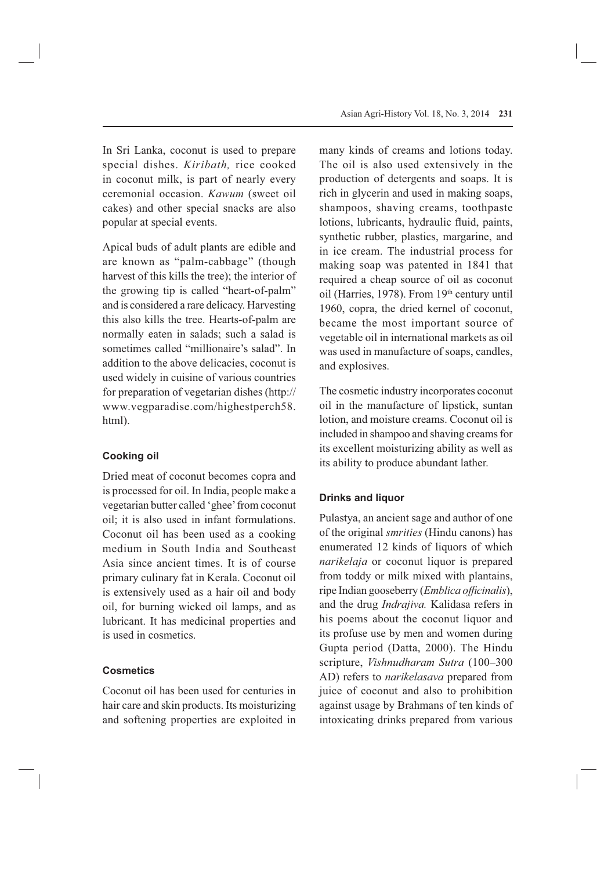In Sri Lanka, coconut is used to prepare special dishes. *Kiribath,* rice cooked in coconut milk, is part of nearly every ceremonial occasion. *Kawum* (sweet oil cakes) and other special snacks are also popular at special events.

Apical buds of adult plants are edible and are known as "palm-cabbage" (though harvest of this kills the tree); the interior of the growing tip is called "heart-of-palm" and is considered a rare delicacy. Harvesting this also kills the tree. Hearts-of-palm are normally eaten in salads; such a salad is sometimes called "millionaire's salad". In addition to the above delicacies, coconut is used widely in cuisine of various countries for preparation of vegetarian dishes (http:// www.vegparadise.com/highestperch58. html).

# **Cooking oil**

Dried meat of coconut becomes copra and is processed for oil. In India, people make a vegetarian butter called 'ghee' from coconut oil; it is also used in infant formulations. Coconut oil has been used as a cooking medium in South India and Southeast Asia since ancient times. It is of course primary culinary fat in Kerala. Coconut oil is extensively used as a hair oil and body oil, for burning wicked oil lamps, and as lubricant. It has medicinal properties and is used in cosmetics.

## **Cosmetics**

Coconut oil has been used for centuries in hair care and skin products. Its moisturizing and softening properties are exploited in many kinds of creams and lotions today. The oil is also used extensively in the production of detergents and soaps. It is rich in glycerin and used in making soaps, shampoos, shaving creams, toothpaste lotions, lubricants, hydraulic fluid, paints, synthetic rubber, plastics, margarine, and in ice cream. The industrial process for making soap was patented in 1841 that required a cheap source of oil as coconut oil (Harries, 1978). From 19<sup>th</sup> century until 1960, copra, the dried kernel of coconut, became the most important source of vegetable oil in international markets as oil was used in manufacture of soaps, candles, and explosives.

The cosmetic industry incorporates coconut oil in the manufacture of lipstick, suntan lotion, and moisture creams. Coconut oil is included in shampoo and shaving creams for its excellent moisturizing ability as well as its ability to produce abundant lather.

## **Drinks and liquor**

Pulastya, an ancient sage and author of one of the original *smrities* (Hindu canons) has enumerated 12 kinds of liquors of which *narikelaja* or coconut liquor is prepared from toddy or milk mixed with plantains, ripe Indian gooseberry (*Emblica officinalis*), and the drug *Indrajiva.* Kalidasa refers in his poems about the coconut liquor and its profuse use by men and women during Gupta period (Datta, 2000). The Hindu scripture, *Vishnudharam Sutra* (100–300 AD) refers to *narikelasava* prepared from juice of coconut and also to prohibition against usage by Brahmans of ten kinds of intoxicating drinks prepared from various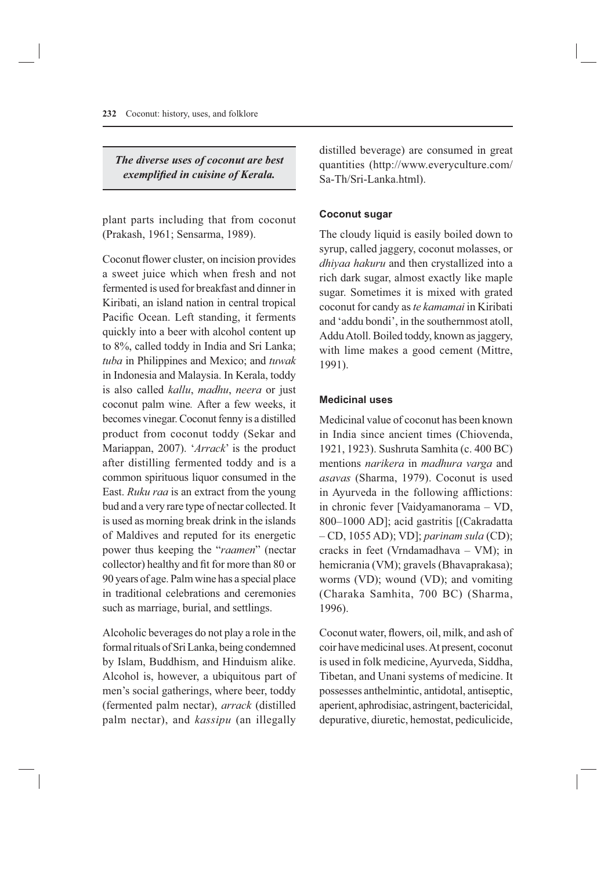*The diverse uses of coconut are best exemplified in cuisine of Kerala.* 

plant parts including that from coconut (Prakash, 1961; Sensarma, 1989).

Coconut flower cluster, on incision provides a sweet juice which when fresh and not fermented is used for breakfast and dinner in Kiribati, an island nation in central tropical Pacific Ocean. Left standing, it ferments quickly into a beer with alcohol content up to 8%, called toddy in India and Sri Lanka; *tuba* in Philippines and Mexico; and *tuwak* in Indonesia and Malaysia. In Kerala, toddy is also called *kallu*, *madhu*, *neera* or just coconut palm wine*.* After a few weeks, it becomes vinegar. Coconut fenny is a distilled product from coconut toddy (Sekar and Mariappan, 2007). '*Arrack*' is the product after distilling fermented toddy and is a common spirituous liquor consumed in the East. *Ruku raa* is an extract from the young bud and a very rare type of nectar collected. It is used as morning break drink in the islands of Maldives and reputed for its energetic power thus keeping the "*raamen*" (nectar collector) healthy and fit for more than 80 or 90 years of age. Palm wine has a special place in traditional celebrations and ceremonies such as marriage, burial, and settlings.

Alcoholic beverages do not play a role in the formal rituals of Sri Lanka, being condemned by Islam, Buddhism, and Hinduism alike. Alcohol is, however, a ubiquitous part of men's social gatherings, where beer, toddy (fermented palm nectar), *arrack* (distilled palm nectar), and *kassipu* (an illegally distilled beverage) are consumed in great quantities (http://www.everyculture.com/ Sa-Th/Sri-Lanka.html).

## **Coconut sugar**

The cloudy liquid is easily boiled down to syrup, called jaggery, coconut molasses, or *dhiyaa hakuru* and then crystallized into a rich dark sugar, almost exactly like maple sugar. Sometimes it is mixed with grated coconut for candy as *te kamamai* in Kiribati and 'addu bondi', in the southernmost atoll, Addu Atoll. Boiled toddy, known as jaggery, with lime makes a good cement (Mittre, 1991).

### **Medicinal uses**

Medicinal value of coconut has been known in India since ancient times (Chiovenda, 1921, 1923). Sushruta Samhita (c. 400 BC) mentions *narikera* in *madhura varga* and *asavas* (Sharma, 1979). Coconut is used in Ayurveda in the following afflictions: in chronic fever [Vaidyamanorama – VD, 800–1000 AD]; acid gastritis [(Cakradatta – CD, 1055 AD); VD]; *parinam sula* (CD); cracks in feet (Vrndamadhava – VM); in hemicrania (VM); gravels (Bhavaprakasa); worms (VD); wound (VD); and vomiting (Charaka Samhita, 700 BC) (Sharma, 1996).

Coconut water, flowers, oil, milk, and ash of coir have medicinal uses. At present, coconut is used in folk medicine, Ayurveda, Siddha, Tibetan, and Unani systems of medicine. It possesses anthelmintic, antidotal, antiseptic, aperient, aphrodisiac, astringent, bactericidal, depurative, diuretic, hemostat, pediculicide,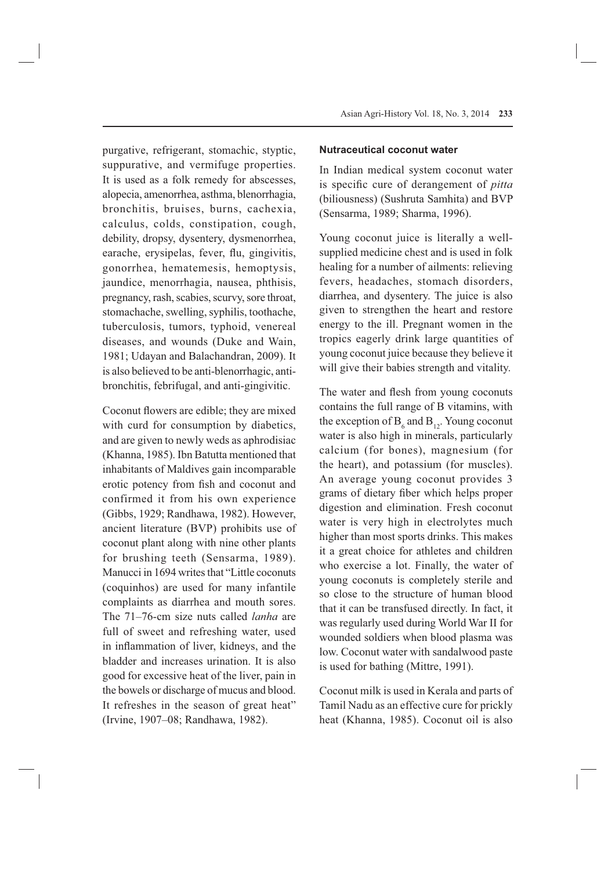purgative, refrigerant, stomachic, styptic, suppurative, and vermifuge properties. It is used as a folk remedy for abscesses, alopecia, amenorrhea, asthma, blenorrhagia, bronchitis, bruises, burns, cachexia, calculus, colds, constipation, cough, debility, dropsy, dysentery, dysmenorrhea, earache, erysipelas, fever, flu, gingivitis, gonorrhea, hematemesis, hemoptysis, jaundice, menorrhagia, nausea, phthisis, pregnancy, rash, scabies, scurvy, sore throat, stomachache, swelling, syphilis, toothache, tuberculosis, tumors, typhoid, venereal diseases, and wounds (Duke and Wain, 1981; Udayan and Balachandran, 2009). It is also believed to be anti-blenorrhagic, antibronchitis, febrifugal, and anti-gingivitic.

Coconut flowers are edible; they are mixed with curd for consumption by diabetics, and are given to newly weds as aphrodisiac (Khanna, 1985). Ibn Batutta mentioned that inhabitants of Maldives gain incomparable erotic potency from fish and coconut and confirmed it from his own experience (Gibbs, 1929; Randhawa, 1982). However, ancient literature (BVP) prohibits use of coconut plant along with nine other plants for brushing teeth (Sensarma, 1989). Manucci in 1694 writes that "Little coconuts (coquinhos) are used for many infantile complaints as diarrhea and mouth sores. The 71–76-cm size nuts called *lanha* are full of sweet and refreshing water, used in inflammation of liver, kidneys, and the bladder and increases urination. It is also good for excessive heat of the liver, pain in the bowels or discharge of mucus and blood. It refreshes in the season of great heat" (Irvine, 1907–08; Randhawa, 1982).

#### **Nutraceutical coconut water**

In Indian medical system coconut water is specific cure of derangement of *pitta* (biliousness) (Sushruta Samhita) and BVP (Sensarma, 1989; Sharma, 1996).

Young coconut juice is literally a wellsupplied medicine chest and is used in folk healing for a number of ailments: relieving fevers, headaches, stomach disorders, diarrhea, and dysentery. The juice is also given to strengthen the heart and restore energy to the ill. Pregnant women in the tropics eagerly drink large quantities of young coconut juice because they believe it will give their babies strength and vitality.

The water and flesh from young coconuts contains the full range of B vitamins, with the exception of  $B_6$  and  $B_{12}$ . Young coconut water is also high in minerals, particularly calcium (for bones), magnesium (for the heart), and potassium (for muscles). An average young coconut provides 3 grams of dietary fiber which helps proper digestion and elimination. Fresh coconut water is very high in electrolytes much higher than most sports drinks. This makes it a great choice for athletes and children who exercise a lot. Finally, the water of young coconuts is completely sterile and so close to the structure of human blood that it can be transfused directly. In fact, it was regularly used during World War II for wounded soldiers when blood plasma was low. Coconut water with sandalwood paste is used for bathing (Mittre, 1991).

Coconut milk is used in Kerala and parts of Tamil Nadu as an effective cure for prickly heat (Khanna, 1985). Coconut oil is also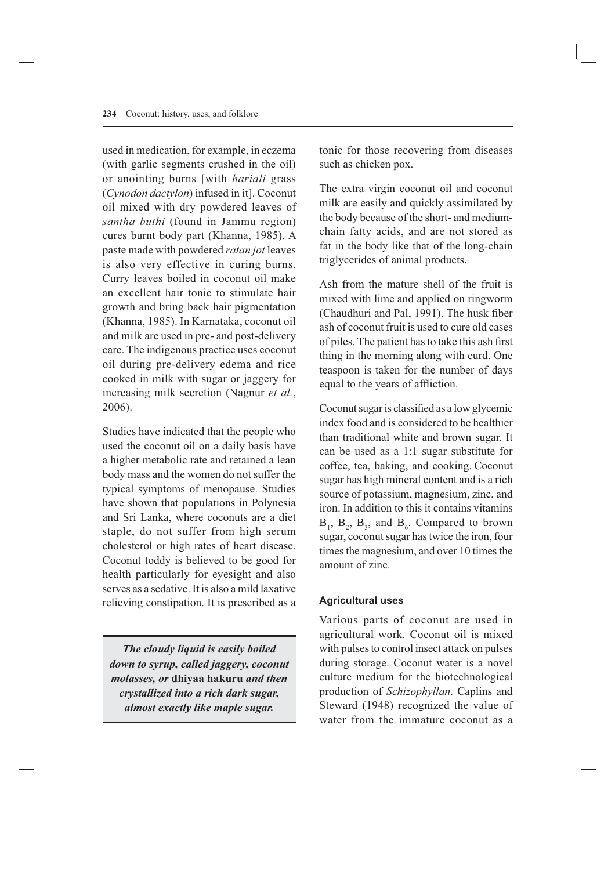used in medication, for example, in eczema (with garlic segments crushed in the oil) or anointing burns [with *hariali* grass (*Cynodon dactylon*) infused in it]. Coconut oil mixed with dry powdered leaves of *santha buthi* (found in Jammu region) cures burnt body part (Khanna, 1985). A paste made with powdered *ratan jot* leaves is also very effective in curing burns. Curry leaves boiled in coconut oil make an excellent hair tonic to stimulate hair growth and bring back hair pigmentation (Khanna, 1985). In Karnataka, coconut oil and milk are used in pre- and post-delivery care. The indigenous practice uses coconut oil during pre-delivery edema and rice cooked in milk with sugar or jaggery for increasing milk secretion (Nagnur *et al.*, 2006).

Studies have indicated that the people who used the coconut oil on a daily basis have a higher metabolic rate and retained a lean body mass and the women do not suffer the typical symptoms of menopause. Studies have shown that populations in Polynesia and Sri Lanka, where coconuts are a diet staple, do not suffer from high serum cholesterol or high rates of heart disease. Coconut toddy is believed to be good for health particularly for eyesight and also serves as a sedative. It is also a mild laxative relieving constipation. It is prescribed as a

*The cloudy liquid is easily boiled down to syrup, called jaggery, coconut molasses, or* **dhiyaa hakuru** *and then crystallized into a rich dark sugar, almost exactly like maple sugar.*

tonic for those recovering from diseases such as chicken pox.

The extra virgin coconut oil and coconut milk are easily and quickly assimilated by the body because of the short- and mediumchain fatty acids, and are not stored as fat in the body like that of the long-chain triglycerides of animal products.

Ash from the mature shell of the fruit is mixed with lime and applied on ringworm (Chaudhuri and Pal, 1991). The husk fiber ash of coconut fruit is used to cure old cases of piles. The patient has to take this ash first thing in the morning along with curd. One teaspoon is taken for the number of days equal to the years of affliction.

Coconut sugar is classified as a low glycemic index food and is considered to be healthier than traditional white and brown sugar. It can be used as a 1:1 sugar substitute for coffee, tea, baking, and cooking. Coconut sugar has high mineral content and is a rich source of potassium, magnesium, zinc, and iron. In addition to this it contains vitamins  $B_1$ ,  $B_2$ ,  $B_3$ , and  $B_6$ . Compared to brown sugar, coconut sugar has twice the iron, four times the magnesium, and over 10 times the amount of zinc.

## **Agricultural uses**

Various parts of coconut are used in agricultural work. Coconut oil is mixed with pulses to control insect attack on pulses during storage. Coconut water is a novel culture medium for the biotechnological production of *Schizophyllan*. Caplins and Steward (1948) recognized the value of water from the immature coconut as a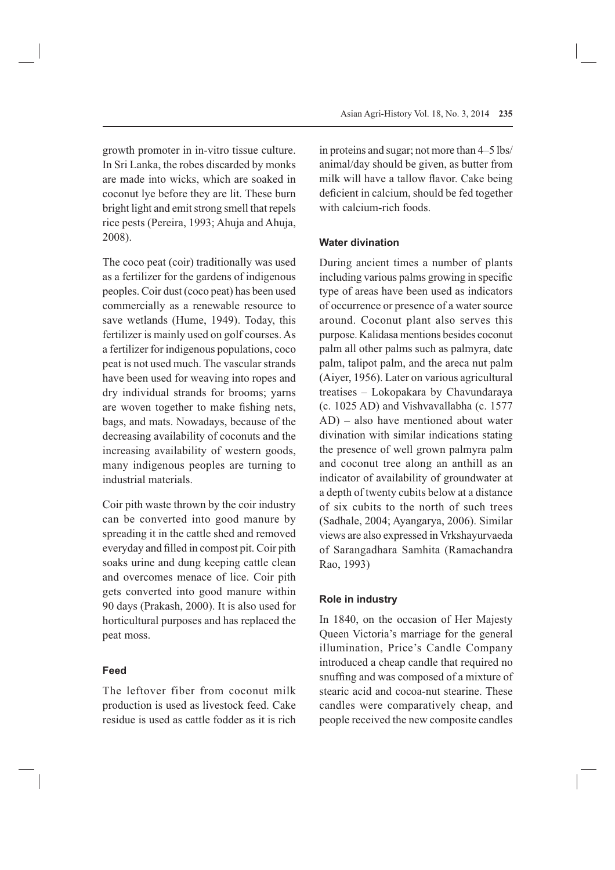growth promoter in in-vitro tissue culture. In Sri Lanka, the robes discarded by monks are made into wicks, which are soaked in coconut lye before they are lit. These burn bright light and emit strong smell that repels rice pests (Pereira, 1993; Ahuja and Ahuja, 2008).

The coco peat (coir) traditionally was used as a fertilizer for the gardens of indigenous peoples. Coir dust (coco peat) has been used commercially as a renewable resource to save wetlands (Hume, 1949). Today, this fertilizer is mainly used on golf courses. As a fertilizer for indigenous populations, coco peat is not used much. The vascular strands have been used for weaving into ropes and dry individual strands for brooms; yarns are woven together to make fishing nets, bags, and mats. Nowadays, because of the decreasing availability of coconuts and the increasing availability of western goods, many indigenous peoples are turning to industrial materials.

Coir pith waste thrown by the coir industry can be converted into good manure by spreading it in the cattle shed and removed everyday and filled in compost pit. Coir pith soaks urine and dung keeping cattle clean and overcomes menace of lice. Coir pith gets converted into good manure within 90 days (Prakash, 2000). It is also used for horticultural purposes and has replaced the peat moss.

### **Feed**

The leftover fiber from coconut milk production is used as livestock feed. Cake residue is used as cattle fodder as it is rich in proteins and sugar; not more than 4–5 lbs/ animal/day should be given, as butter from milk will have a tallow flavor. Cake being deficient in calcium, should be fed together with calcium-rich foods.

## **Water divination**

During ancient times a number of plants including various palms growing in specific type of areas have been used as indicators of occurrence or presence of a water source around. Coconut plant also serves this purpose. Kalidasa mentions besides coconut palm all other palms such as palmyra, date palm, talipot palm, and the areca nut palm (Aiyer, 1956). Later on various agricultural treatises – Lokopakara by Chavundaraya (c. 1025 AD) and Vishvavallabha (c. 1577 AD) – also have mentioned about water divination with similar indications stating the presence of well grown palmyra palm and coconut tree along an anthill as an indicator of availability of groundwater at a depth of twenty cubits below at a distance of six cubits to the north of such trees (Sadhale, 2004; Ayangarya, 2006). Similar views are also expressed in Vrkshayurvaeda of Sarangadhara Samhita (Ramachandra Rao, 1993)

#### **Role in industry**

In 1840, on the occasion of Her Majesty Queen Victoria's marriage for the general illumination, Price's Candle Company introduced a cheap candle that required no snuffing and was composed of a mixture of stearic acid and cocoa-nut stearine. These candles were comparatively cheap, and people received the new composite candles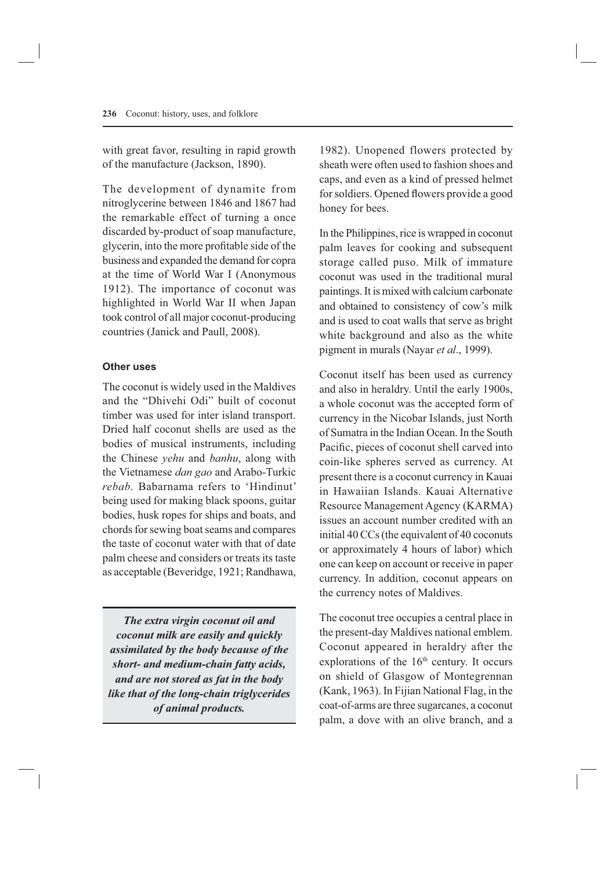with great favor, resulting in rapid growth of the manufacture (Jackson, 1890).

The development of dynamite from nitroglycerine between 1846 and 1867 had the remarkable effect of turning a once discarded by-product of soap manufacture, glycerin, into the more profitable side of the business and expanded the demand for copra at the time of World War I (Anonymous 1912). The importance of coconut was highlighted in World War II when Japan took control of all major coconut-producing countries (Janick and Paull, 2008).

# **Other uses**

The coconut is widely used in the Maldives and the "Dhivehi Odi" built of coconut timber was used for inter island transport. Dried half coconut shells are used as the bodies of musical instruments, including the Chinese *yehu* and *banhu*, along with the Vietnamese *dan gao* and Arabo-Turkic *rebab*. Babarnama refers to 'Hindinut' being used for making black spoons, guitar bodies, husk ropes for ships and boats, and chords for sewing boat seams and compares the taste of coconut water with that of date palm cheese and considers or treats its taste as acceptable (Beveridge, 1921; Randhawa,

*The extra virgin coconut oil and coconut milk are easily and quickly assimilated by the body because of the short- and medium-chain fatty acids, and are not stored as fat in the body like that of the long-chain triglycerides of animal products.*

1982). Unopened flowers protected by sheath were often used to fashion shoes and caps, and even as a kind of pressed helmet for soldiers. Opened flowers provide a good honey for bees.

In the Philippines, rice is wrapped in coconut palm leaves for cooking and subsequent storage called puso. Milk of immature coconut was used in the traditional mural paintings. It is mixed with calcium carbonate and obtained to consistency of cow's milk and is used to coat walls that serve as bright white background and also as the white pigment in murals (Nayar *et al*., 1999).

Coconut itself has been used as currency and also in heraldry. Until the early 1900s, a whole coconut was the accepted form of currency in the Nicobar Islands, just North of Sumatra in the Indian Ocean. In the South Pacific, pieces of coconut shell carved into coin-like spheres served as currency. At present there is a coconut currency in Kauai in Hawaiian Islands. Kauai Alternative Resource Management Agency (KARMA) issues an account number credited with an initial 40 CCs (the equivalent of 40 coconuts or approximately 4 hours of labor) which one can keep on account or receive in paper currency. In addition, coconut appears on the currency notes of Maldives.

The coconut tree occupies a central place in the present-day Maldives national emblem. Coconut appeared in heraldry after the explorations of the  $16<sup>th</sup>$  century. It occurs on shield of Glasgow of Montegrennan (Kank, 1963). In Fijian National Flag, in the coat-of-arms are three sugarcanes, a coconut palm, a dove with an olive branch, and a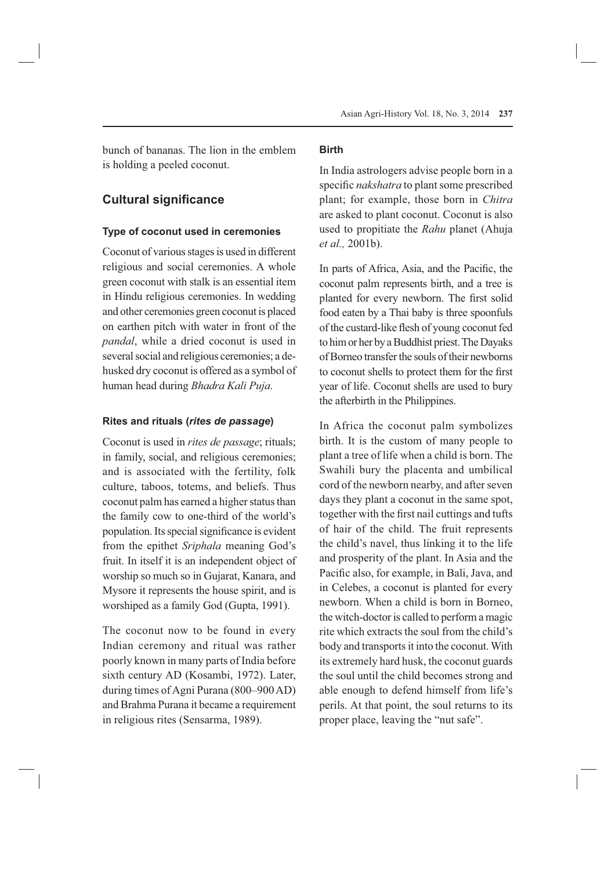bunch of bananas. The lion in the emblem is holding a peeled coconut.

# **Cultural significance**

## **Type of coconut used in ceremonies**

Coconut of various stages is used in different religious and social ceremonies. A whole green coconut with stalk is an essential item in Hindu religious ceremonies. In wedding and other ceremonies green coconut is placed on earthen pitch with water in front of the *pandal*, while a dried coconut is used in several social and religious ceremonies; a dehusked dry coconut is offered as a symbol of human head during *Bhadra Kali Puja*.

#### **Rites and rituals (***rites de passage***)**

Coconut is used in *rites de passage*; rituals; in family, social, and religious ceremonies; and is associated with the fertility, folk culture, taboos, totems, and beliefs. Thus coconut palm has earned a higher status than the family cow to one-third of the world's population. Its special significance is evident from the epithet *Sriphala* meaning God's fruit. In itself it is an independent object of worship so much so in Gujarat, Kanara, and Mysore it represents the house spirit, and is worshiped as a family God (Gupta, 1991).

The coconut now to be found in every Indian ceremony and ritual was rather poorly known in many parts of India before sixth century AD (Kosambi, 1972). Later, during times of Agni Purana (800–900 AD) and Brahma Purana it became a requirement in religious rites (Sensarma, 1989).

## **Birth**

In India astrologers advise people born in a specific *nakshatra* to plant some prescribed plant; for example, those born in *Chitra*  are asked to plant coconut. Coconut is also used to propitiate the *Rahu* planet (Ahuja *et al.,* 2001b).

In parts of Africa, Asia, and the Pacific, the coconut palm represents birth, and a tree is planted for every newborn. The first solid food eaten by a Thai baby is three spoonfuls of the custard-like flesh of young coconut fed to him or her by a Buddhist priest. The Dayaks of Borneo transfer the souls of their newborns to coconut shells to protect them for the first year of life. Coconut shells are used to bury the afterbirth in the Philippines.

In Africa the coconut palm symbolizes birth. It is the custom of many people to plant a tree of life when a child is born. The Swahili bury the placenta and umbilical cord of the newborn nearby, and after seven days they plant a coconut in the same spot, together with the first nail cuttings and tufts of hair of the child. The fruit represents the child's navel, thus linking it to the life and prosperity of the plant. In Asia and the Pacific also, for example, in Bali, Java, and in Celebes, a coconut is planted for every newborn. When a child is born in Borneo, the witch-doctor is called to perform a magic rite which extracts the soul from the child's body and transports it into the coconut. With its extremely hard husk, the coconut guards the soul until the child becomes strong and able enough to defend himself from life's perils. At that point, the soul returns to its proper place, leaving the "nut safe".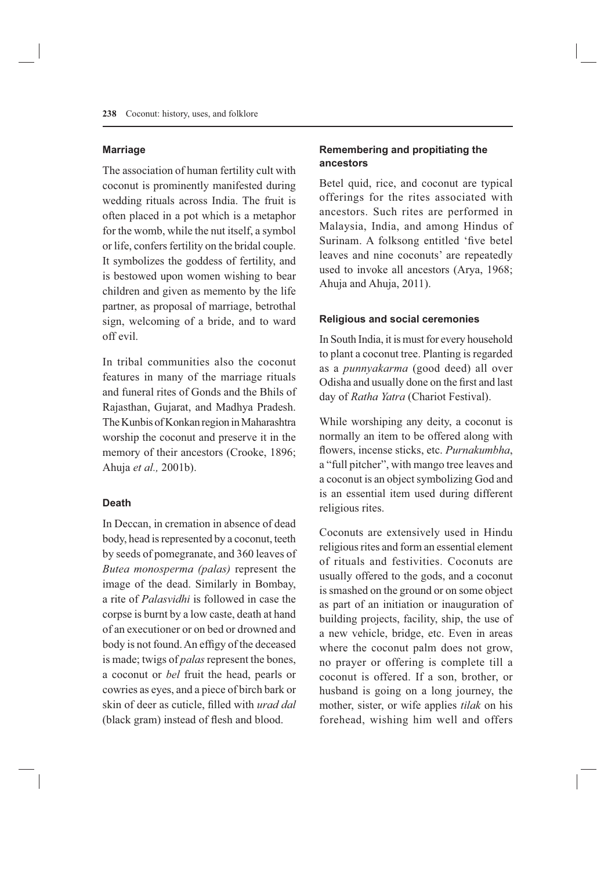#### **Marriage**

The association of human fertility cult with coconut is prominently manifested during wedding rituals across India. The fruit is often placed in a pot which is a metaphor for the womb, while the nut itself, a symbol or life, confers fertility on the bridal couple. It symbolizes the goddess of fertility, and is bestowed upon women wishing to bear children and given as memento by the life partner, as proposal of marriage, betrothal sign, welcoming of a bride, and to ward off evil.

In tribal communities also the coconut features in many of the marriage rituals and funeral rites of Gonds and the Bhils of Rajasthan, Gujarat, and Madhya Pradesh. The Kunbis of Konkan region in Maharashtra worship the coconut and preserve it in the memory of their ancestors (Crooke, 1896; Ahuja *et al.,* 2001b).

# **Death**

In Deccan, in cremation in absence of dead body, head is represented by a coconut, teeth by seeds of pomegranate, and 360 leaves of *Butea monosperma (palas)* represent the image of the dead. Similarly in Bombay, a rite of *Palasvidhi* is followed in case the corpse is burnt by a low caste, death at hand of an executioner or on bed or drowned and body is not found. An effigy of the deceased is made; twigs of *palas* represent the bones, a coconut or *bel* fruit the head, pearls or cowries as eyes, and a piece of birch bark or skin of deer as cuticle, filled with *urad dal* (black gram) instead of flesh and blood.

# **Remembering and propitiating the ancestors**

Betel quid, rice, and coconut are typical offerings for the rites associated with ancestors. Such rites are performed in Malaysia, India, and among Hindus of Surinam. A folksong entitled 'five betel leaves and nine coconuts' are repeatedly used to invoke all ancestors (Arya, 1968; Ahuja and Ahuja, 2011).

#### **Religious and social ceremonies**

In South India, it is must for every household to plant a coconut tree. Planting is regarded as a *punnyakarma* (good deed) all over Odisha and usually done on the first and last day of *Ratha Yatra* (Chariot Festival).

While worshiping any deity, a coconut is normally an item to be offered along with flowers, incense sticks, etc. *Purnakumbha*, a "full pitcher", with mango tree leaves and a coconut is an object symbolizing God and is an essential item used during different religious rites.

Coconuts are extensively used in Hindu religious rites and form an essential element of rituals and festivities. Coconuts are usually offered to the gods, and a coconut is smashed on the ground or on some object as part of an initiation or inauguration of building projects, facility, ship, the use of a new vehicle, bridge, etc. Even in areas where the coconut palm does not grow, no prayer or offering is complete till a coconut is offered. If a son, brother, or husband is going on a long journey, the mother, sister, or wife applies *tilak* on his forehead, wishing him well and offers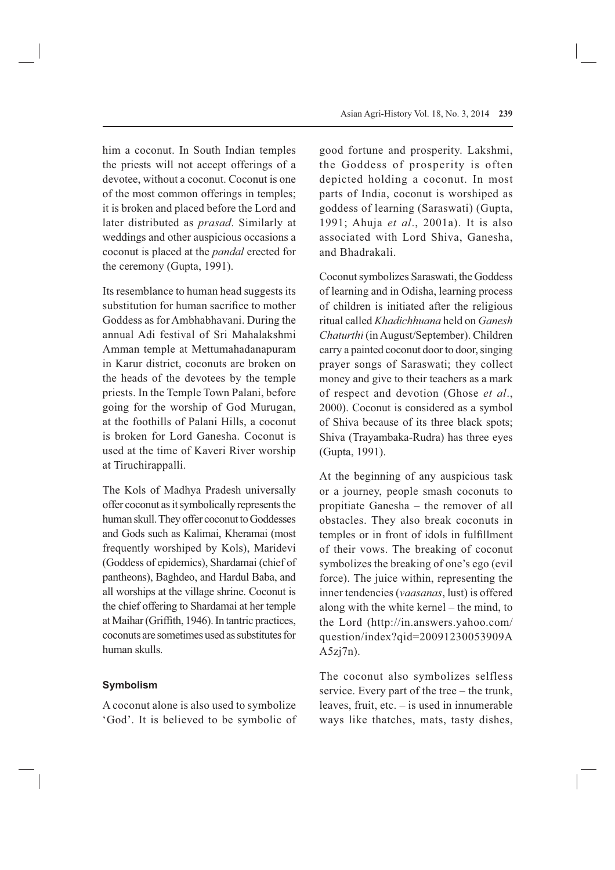him a coconut. In South Indian temples the priests will not accept offerings of a devotee, without a coconut. Coconut is one of the most common offerings in temples; it is broken and placed before the Lord and later distributed as *prasad*. Similarly at weddings and other auspicious occasions a coconut is placed at the *pandal* erected for the ceremony (Gupta, 1991).

Its resemblance to human head suggests its substitution for human sacrifice to mother Goddess as for Ambhabhavani. During the annual Adi festival of Sri Mahalakshmi Amman temple at Mettumahadanapuram in Karur district, coconuts are broken on the heads of the devotees by the temple priests. In the Temple Town Palani, before going for the worship of God Murugan, at the foothills of Palani Hills, a coconut is broken for Lord Ganesha. Coconut is used at the time of Kaveri River worship at Tiruchirappalli.

The Kols of Madhya Pradesh universally offer coconut as it symbolically represents the human skull. They offer coconut to Goddesses and Gods such as Kalimai, Kheramai (most frequently worshiped by Kols), Maridevi (Goddess of epidemics), Shardamai (chief of pantheons), Baghdeo, and Hardul Baba, and all worships at the village shrine. Coconut is the chief offering to Shardamai at her temple at Maihar (Griffith, 1946). In tantric practices, coconuts are sometimes used as substitutes for human skulls.

## **Symbolism**

A coconut alone is also used to symbolize 'God'. It is believed to be symbolic of good fortune and prosperity. Lakshmi, the Goddess of prosperity is often depicted holding a coconut. In most parts of India, coconut is worshiped as goddess of learning (Saraswati) (Gupta, 1991; Ahuja *et al*., 2001a). It is also associated with Lord Shiva, Ganesha, and Bhadrakali.

Coconut symbolizes Saraswati, the Goddess of learning and in Odisha, learning process of children is initiated after the religious ritual called *Khadichhuana* held on *Ganesh Chaturthi* (in August/September). Children carry a painted coconut door to door, singing prayer songs of Saraswati; they collect money and give to their teachers as a mark of respect and devotion (Ghose *et al*., 2000). Coconut is considered as a symbol of Shiva because of its three black spots; Shiva (Trayambaka-Rudra) has three eyes (Gupta, 1991).

At the beginning of any auspicious task or a journey, people smash coconuts to propitiate Ganesha – the remover of all obstacles. They also break coconuts in temples or in front of idols in fulfillment of their vows. The breaking of coconut symbolizes the breaking of one's ego (evil force). The juice within, representing the inner tendencies (*vaasanas*, lust) is offered along with the white kernel – the mind, to the Lord (http://in.answers.yahoo.com/ question/index?qid=20091230053909A  $A5zi7n$ ).

The coconut also symbolizes selfless service. Every part of the tree – the trunk, leaves, fruit, etc. – is used in innumerable ways like thatches, mats, tasty dishes,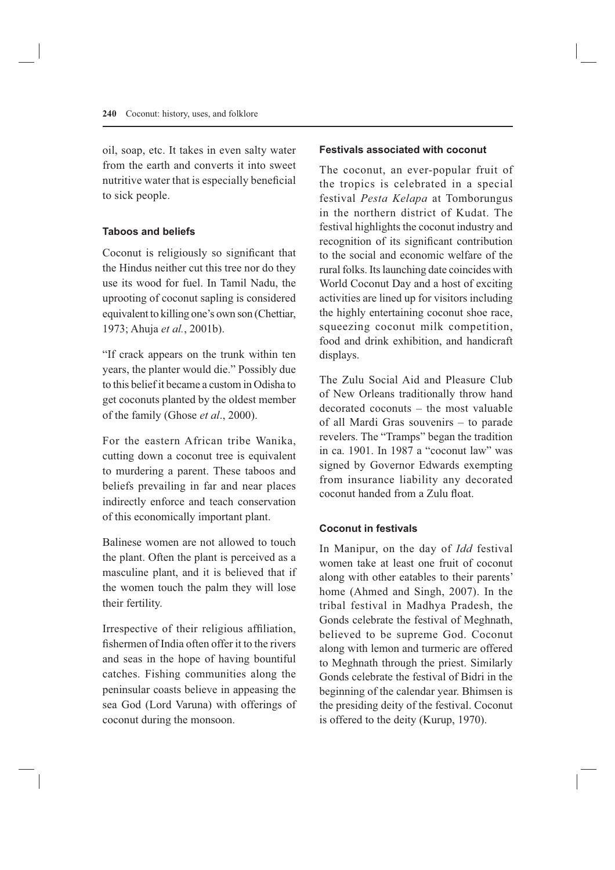oil, soap, etc. It takes in even salty water from the earth and converts it into sweet nutritive water that is especially beneficial to sick people.

## **Taboos and beliefs**

Coconut is religiously so significant that the Hindus neither cut this tree nor do they use its wood for fuel. In Tamil Nadu, the uprooting of coconut sapling is considered equivalent to killing one's own son (Chettiar, 1973; Ahuja *et al.*, 2001b).

"If crack appears on the trunk within ten years, the planter would die." Possibly due to this belief it became a custom in Odisha to get coconuts planted by the oldest member of the family (Ghose *et al*., 2000).

For the eastern African tribe Wanika, cutting down a coconut tree is equivalent to murdering a parent. These taboos and beliefs prevailing in far and near places indirectly enforce and teach conservation of this economically important plant.

Balinese women are not allowed to touch the plant. Often the plant is perceived as a masculine plant, and it is believed that if the women touch the palm they will lose their fertility.

Irrespective of their religious affiliation, fishermen of India often offer it to the rivers and seas in the hope of having bountiful catches. Fishing communities along the peninsular coasts believe in appeasing the sea God (Lord Varuna) with offerings of coconut during the monsoon.

### **Festivals associated with coconut**

The coconut, an ever-popular fruit of the tropics is celebrated in a special festival *Pesta Kelapa* at Tomborungus in the northern district of Kudat. The festival highlights the coconut industry and recognition of its significant contribution to the social and economic welfare of the rural folks. Its launching date coincides with World Coconut Day and a host of exciting activities are lined up for visitors including the highly entertaining coconut shoe race, squeezing coconut milk competition, food and drink exhibition, and handicraft displays.

The Zulu Social Aid and Pleasure Club of New Orleans traditionally throw hand decorated coconuts – the most valuable of all Mardi Gras souvenirs – to parade revelers. The "Tramps" began the tradition in ca. 1901. In 1987 a "coconut law" was signed by Governor Edwards exempting from insurance liability any decorated coconut handed from a Zulu float.

# **Coconut in festivals**

In Manipur, on the day of *Idd* festival women take at least one fruit of coconut along with other eatables to their parents' home (Ahmed and Singh, 2007). In the tribal festival in Madhya Pradesh, the Gonds celebrate the festival of Meghnath, believed to be supreme God. Coconut along with lemon and turmeric are offered to Meghnath through the priest. Similarly Gonds celebrate the festival of Bidri in the beginning of the calendar year. Bhimsen is the presiding deity of the festival. Coconut is offered to the deity (Kurup, 1970).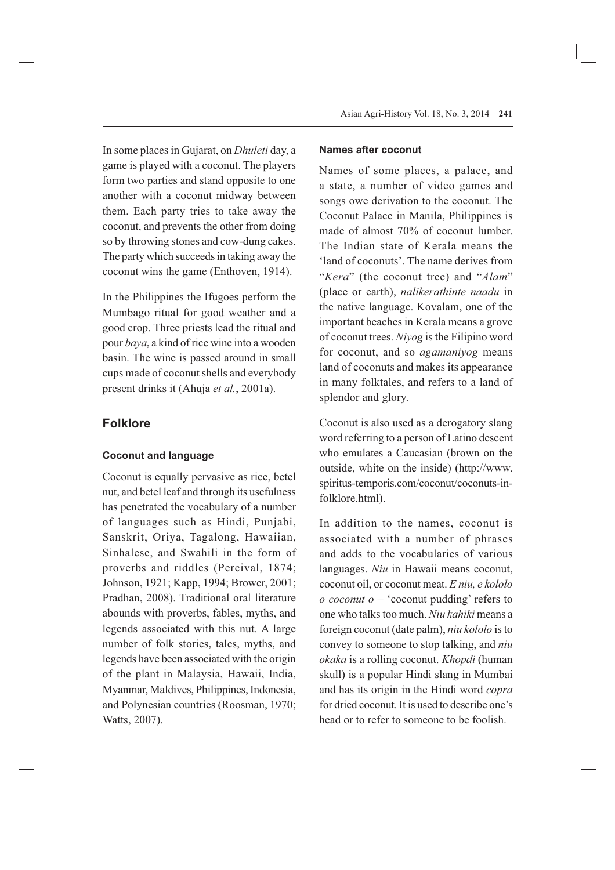In some places in Gujarat, on *Dhuleti* day, a game is played with a coconut. The players form two parties and stand opposite to one another with a coconut midway between them. Each party tries to take away the coconut, and prevents the other from doing so by throwing stones and cow-dung cakes. The party which succeeds in taking away the coconut wins the game (Enthoven, 1914).

In the Philippines the Ifugoes perform the Mumbago ritual for good weather and a good crop. Three priests lead the ritual and pour *baya*, a kind of rice wine into a wooden basin. The wine is passed around in small cups made of coconut shells and everybody present drinks it (Ahuja *et al.*, 2001a).

# **Folklore**

#### **Coconut and language**

Coconut is equally pervasive as rice, betel nut, and betel leaf and through its usefulness has penetrated the vocabulary of a number of languages such as Hindi, Punjabi, Sanskrit, Oriya, Tagalong, Hawaiian, Sinhalese, and Swahili in the form of proverbs and riddles (Percival, 1874; Johnson, 1921; Kapp, 1994; Brower, 2001; Pradhan, 2008). Traditional oral literature abounds with proverbs, fables, myths, and legends associated with this nut. A large number of folk stories, tales, myths, and legends have been associated with the origin of the plant in Malaysia, Hawaii, India, Myanmar, Maldives, Philippines, Indonesia, and Polynesian countries (Roosman, 1970; Watts, 2007).

#### **Names after coconut**

Names of some places, a palace, and a state, a number of video games and songs owe derivation to the coconut. The Coconut Palace in Manila, Philippines is made of almost 70% of coconut lumber. The Indian state of Kerala means the 'land of coconuts'. The name derives from "*Kera*" (the coconut tree) and "*Alam*" (place or earth), *nalikerathinte naadu* in the native language. Kovalam, one of the important beaches in Kerala means a grove of coconut trees. *Niyog* is the Filipino word for coconut, and so *agamaniyog* means land of coconuts and makes its appearance in many folktales, and refers to a land of splendor and glory.

Coconut is also used as a derogatory slang word referring to a person of Latino descent who emulates a Caucasian (brown on the outside, white on the inside) (http://www. spiritus-temporis.com/coconut/coconuts-infolklore.html).

In addition to the names, coconut is associated with a number of phrases and adds to the vocabularies of various languages. *Niu* in Hawaii means coconut, coconut oil, or coconut meat. *E niu, e kololo o coconut o* – 'coconut pudding' refers to one who talks too much. *Niu kahiki* means a foreign coconut (date palm), *niu kololo* is to convey to someone to stop talking, and *niu okaka* is a rolling coconut. *Khopdi* (human skull) is a popular Hindi slang in Mumbai and has its origin in the Hindi word *copra* for dried coconut. It is used to describe one's head or to refer to someone to be foolish.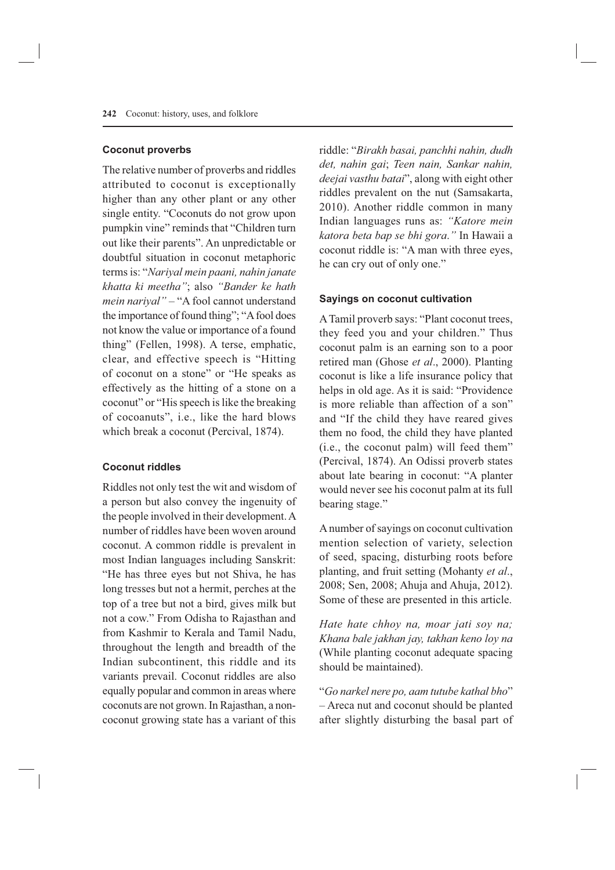#### **Coconut proverbs**

The relative number of proverbs and riddles attributed to coconut is exceptionally higher than any other plant or any other single entity. "Coconuts do not grow upon pumpkin vine" reminds that "Children turn out like their parents". An unpredictable or doubtful situation in coconut metaphoric terms is: "*Nariyal mein paani, nahin janate khatta ki meetha"*; also *"Bander ke hath mein nariyal"* – "A fool cannot understand the importance of found thing"; "A fool does not know the value or importance of a found thing" (Fellen, 1998). A terse, emphatic, clear, and effective speech is "Hitting of coconut on a stone" or "He speaks as effectively as the hitting of a stone on a coconut" or "His speech is like the breaking of cocoanuts", i.e., like the hard blows which break a coconut (Percival, 1874).

#### **Coconut riddles**

Riddles not only test the wit and wisdom of a person but also convey the ingenuity of the people involved in their development. A number of riddles have been woven around coconut. A common riddle is prevalent in most Indian languages including Sanskrit: "He has three eyes but not Shiva, he has long tresses but not a hermit, perches at the top of a tree but not a bird, gives milk but not a cow." From Odisha to Rajasthan and from Kashmir to Kerala and Tamil Nadu, throughout the length and breadth of the Indian subcontinent, this riddle and its variants prevail. Coconut riddles are also equally popular and common in areas where coconuts are not grown. In Rajasthan, a noncoconut growing state has a variant of this

riddle: "*Birakh basai, panchhi nahin, dudh det, nahin gai*; *Teen nain, Sankar nahin, deejai vasthu batai*", along with eight other riddles prevalent on the nut (Samsakarta, 2010). Another riddle common in many Indian languages runs as: *"Katore mein katora beta bap se bhi gora*.*"* In Hawaii a coconut riddle is: "A man with three eyes, he can cry out of only one."

### **Sayings on coconut cultivation**

A Tamil proverb says: "Plant coconut trees, they feed you and your children." Thus coconut palm is an earning son to a poor retired man (Ghose *et al*., 2000). Planting coconut is like a life insurance policy that helps in old age. As it is said: "Providence is more reliable than affection of a son" and "If the child they have reared gives them no food, the child they have planted (i.e., the coconut palm) will feed them" (Percival, 1874). An Odissi proverb states about late bearing in coconut: "A planter would never see his coconut palm at its full bearing stage."

A number of sayings on coconut cultivation mention selection of variety, selection of seed, spacing, disturbing roots before planting, and fruit setting (Mohanty *et al*., 2008; Sen, 2008; Ahuja and Ahuja, 2012). Some of these are presented in this article.

*Hate hate chhoy na, moar jati soy na; Khana bale jakhan jay, takhan keno loy na*  (While planting coconut adequate spacing should be maintained).

"*Go narkel nere po, aam tutube kathal bho*" – Areca nut and coconut should be planted after slightly disturbing the basal part of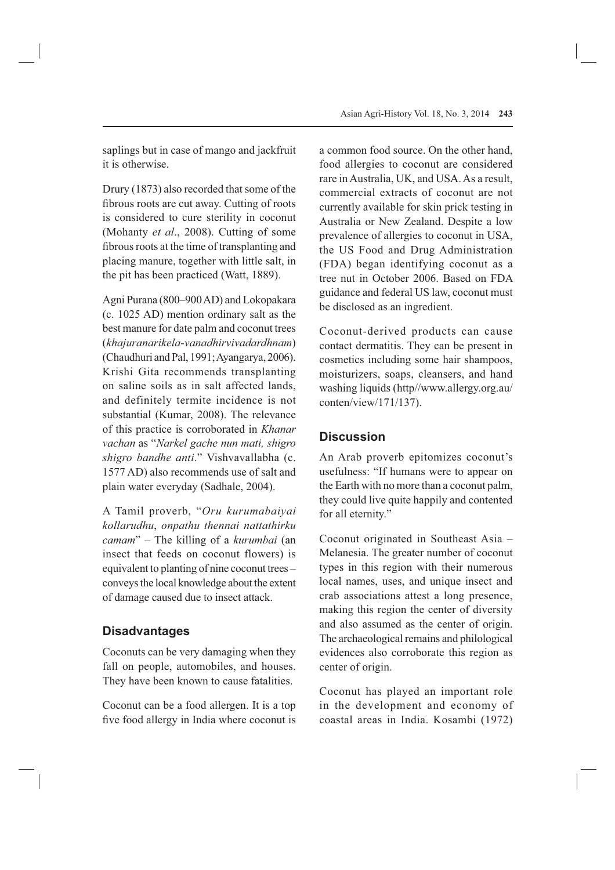saplings but in case of mango and jackfruit it is otherwise.

Drury (1873) also recorded that some of the fibrous roots are cut away. Cutting of roots is considered to cure sterility in coconut (Mohanty *et al*., 2008). Cutting of some fibrous roots at the time of transplanting and placing manure, together with little salt, in the pit has been practiced (Watt, 1889).

Agni Purana (800–900 AD) and Lokopakara (c. 1025 AD) mention ordinary salt as the best manure for date palm and coconut trees (*khajuranarikela-vanadhirvivadardhnam*) (Chaudhuri and Pal, 1991; Ayangarya, 2006). Krishi Gita recommends transplanting on saline soils as in salt affected lands, and definitely termite incidence is not substantial (Kumar, 2008). The relevance of this practice is corroborated in *Khanar vachan* as "*Narkel gache nun mati, shigro shigro bandhe anti*." Vishvavallabha (c. 1577 AD) also recommends use of salt and plain water everyday (Sadhale, 2004).

A Tamil proverb, "*Oru kurumabaiyai kollarudhu*, *onpathu thennai nattathirku camam*" – The killing of a *kurumbai* (an insect that feeds on coconut flowers) is equivalent to planting of nine coconut trees – conveys the local knowledge about the extent of damage caused due to insect attack.

# **Disadvantages**

Coconuts can be very damaging when they fall on people, automobiles, and houses. They have been known to cause fatalities.

Coconut can be a food allergen. It is a top five food allergy in India where coconut is a common food source. On the other hand, food allergies to coconut are considered rare in Australia, UK, and USA. As a result, commercial extracts of coconut are not currently available for skin prick testing in Australia or New Zealand. Despite a low prevalence of allergies to coconut in USA, the US Food and Drug Administration (FDA) began identifying coconut as a tree nut in October 2006. Based on FDA guidance and federal US law, coconut must be disclosed as an ingredient.

Coconut-derived products can cause contact dermatitis. They can be present in cosmetics including some hair shampoos, moisturizers, soaps, cleansers, and hand washing liquids (http//www.allergy.org.au/ conten/view/171/137).

# **Discussion**

An Arab proverb epitomizes coconut's usefulness: "If humans were to appear on the Earth with no more than a coconut palm, they could live quite happily and contented for all eternity."

Coconut originated in Southeast Asia – Melanesia. The greater number of coconut types in this region with their numerous local names, uses, and unique insect and crab associations attest a long presence, making this region the center of diversity and also assumed as the center of origin. The archaeological remains and philological evidences also corroborate this region as center of origin.

Coconut has played an important role in the development and economy of coastal areas in India. Kosambi (1972)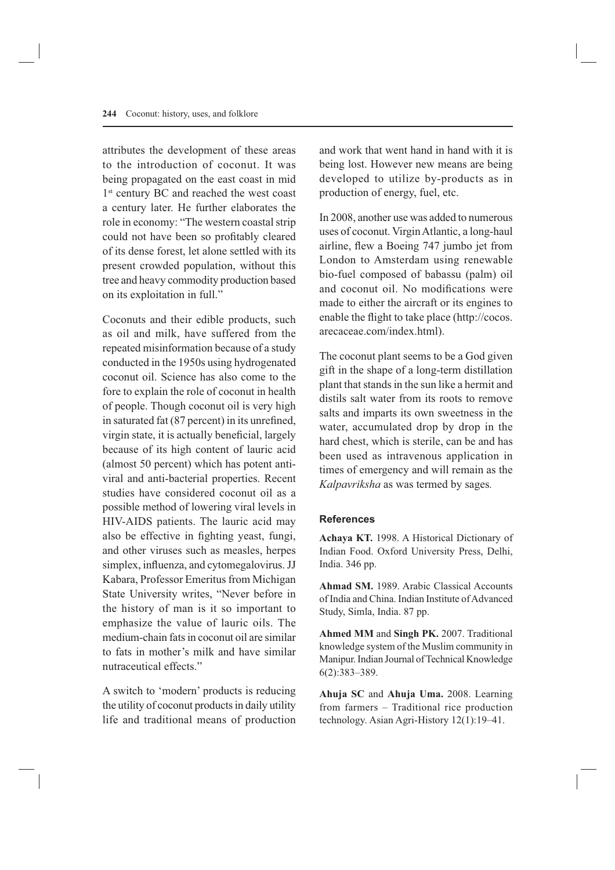attributes the development of these areas to the introduction of coconut. It was being propagated on the east coast in mid 1<sup>st</sup> century BC and reached the west coast a century later. He further elaborates the role in economy: "The western coastal strip could not have been so profitably cleared of its dense forest, let alone settled with its present crowded population, without this tree and heavy commodity production based on its exploitation in full."

Coconuts and their edible products, such as oil and milk, have suffered from the repeated misinformation because of a study conducted in the 1950s using hydrogenated coconut oil. Science has also come to the fore to explain the role of coconut in health of people. Though coconut oil is very high in saturated fat (87 percent) in its unrefined, virgin state, it is actually beneficial, largely because of its high content of lauric acid (almost 50 percent) which has potent antiviral and anti-bacterial properties. Recent studies have considered coconut oil as a possible method of lowering viral levels in HIV-AIDS patients. The lauric acid may also be effective in fighting yeast, fungi, and other viruses such as measles, herpes simplex, influenza, and cytomegalovirus. JJ Kabara, Professor Emeritus from Michigan State University writes, "Never before in the history of man is it so important to emphasize the value of lauric oils. The medium-chain fats in coconut oil are similar to fats in mother's milk and have similar nutraceutical effects."

A switch to 'modern' products is reducing the utility of coconut products in daily utility life and traditional means of production and work that went hand in hand with it is being lost. However new means are being developed to utilize by-products as in production of energy, fuel, etc.

In 2008, another use was added to numerous uses of coconut. Virgin Atlantic, a long-haul airline, flew a Boeing 747 jumbo jet from London to Amsterdam using renewable bio-fuel composed of babassu (palm) oil and coconut oil. No modifications were made to either the aircraft or its engines to enable the flight to take place (http://cocos. arecaceae.com/index.html).

The coconut plant seems to be a God given gift in the shape of a long-term distillation plant that stands in the sun like a hermit and distils salt water from its roots to remove salts and imparts its own sweetness in the water, accumulated drop by drop in the hard chest, which is sterile, can be and has been used as intravenous application in times of emergency and will remain as the *Kalpavriksha* as was termed by sages*.*

### **References**

**Achaya KT.** 1998. A Historical Dictionary of Indian Food. Oxford University Press, Delhi, India. 346 pp.

**Ahmad SM.** 1989. Arabic Classical Accounts of India and China. Indian Institute of Advanced Study, Simla, India. 87 pp.

**Ahmed MM** and **Singh PK.** 2007. Traditional knowledge system of the Muslim community in Manipur. Indian Journal of Technical Knowledge 6(2):383–389.

**Ahuja SC** and **Ahuja Uma.** 2008. Learning from farmers – Traditional rice production technology. Asian Agri-History 12(1):19–41.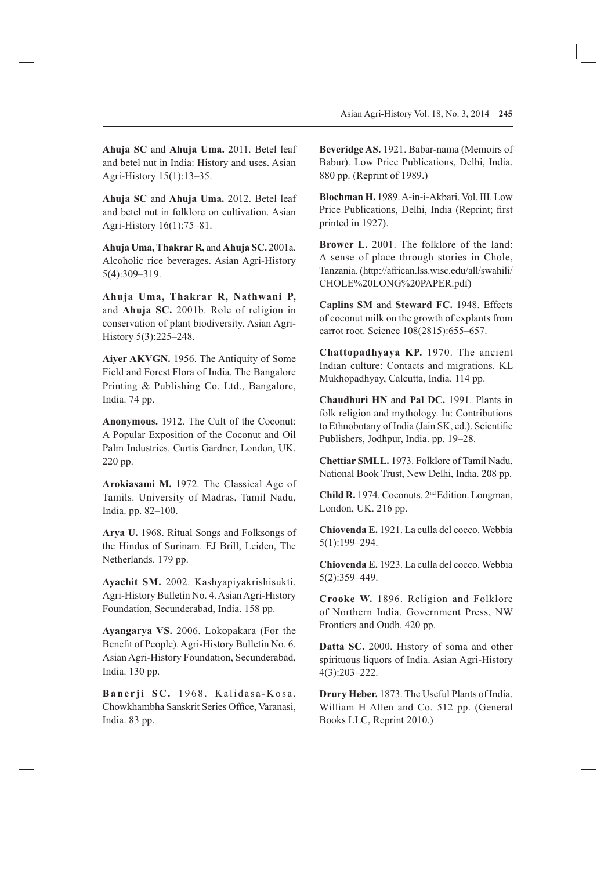**Ahuja SC** and **Ahuja Uma.** 2011. Betel leaf and betel nut in India: History and uses. Asian Agri-History 15(1):13–35.

**Ahuja SC** and **Ahuja Uma.** 2012. Betel leaf and betel nut in folklore on cultivation. Asian Agri-History 16(1):75–81.

**Ahuja Uma, Thakrar R,** and **Ahuja SC.** 2001a. Alcoholic rice beverages. Asian Agri-History 5(4):309–319.

**Ahuja Uma, Thakrar R, Nathwani P,**  and **Ahuja SC.** 2001b. Role of religion in conservation of plant biodiversity. Asian Agri-History 5(3):225–248.

**Aiyer AKVGN.** 1956. The Antiquity of Some Field and Forest Flora of India. The Bangalore Printing & Publishing Co. Ltd., Bangalore, India. 74 pp.

**Anonymous.** 1912. The Cult of the Coconut: A Popular Exposition of the Coconut and Oil Palm Industries. Curtis Gardner, London, UK. 220 pp.

**Arokiasami M.** 1972. The Classical Age of Tamils. University of Madras, Tamil Nadu, India. pp. 82–100.

**Arya U.** 1968. Ritual Songs and Folksongs of the Hindus of Surinam. EJ Brill, Leiden, The Netherlands. 179 pp.

**Ayachit SM.** 2002. Kashyapiyakrishisukti. Agri-History Bulletin No. 4. Asian Agri-History Foundation, Secunderabad, India. 158 pp.

**Ayangarya VS.** 2006. Lokopakara (For the Benefit of People). Agri-History Bulletin No. 6. Asian Agri-History Foundation, Secunderabad, India. 130 pp.

Banerji SC. 1968. Kalidasa-Kosa. Chowkhambha Sanskrit Series Office, Varanasi, India. 83 pp.

**Beveridge AS.** 1921. Babar-nama (Memoirs of Babur). Low Price Publications, Delhi, India. 880 pp. (Reprint of 1989.)

**Blochman H.** 1989. A-in-i-Akbari. Vol. III. Low Price Publications, Delhi, India (Reprint; first printed in 1927).

**Brower L.** 2001. The folklore of the land: A sense of place through stories in Chole, Tanzania. (http://african.lss.wisc.edu/all/swahili/ CHOLE%20LONG%20PAPER.pdf)

**Caplins SM** and **Steward FC.** 1948. Effects of coconut milk on the growth of explants from carrot root. Science 108(2815):655–657.

**Chattopadhyaya KP.** 1970. The ancient Indian culture: Contacts and migrations. KL Mukhopadhyay, Calcutta, India. 114 pp.

**Chaudhuri HN** and **Pal DC.** 1991. Plants in folk religion and mythology. In: Contributions to Ethnobotany of India (Jain SK, ed.). Scientific Publishers, Jodhpur, India. pp. 19–28.

**Chettiar SMLL.** 1973. Folklore of Tamil Nadu. National Book Trust, New Delhi, India. 208 pp.

**Child R.** 1974. Coconuts. 2nd Edition. Longman, London, UK. 216 pp.

**Chiovenda E.** 1921. La culla del cocco. Webbia 5(1):199–294.

**Chiovenda E.** 1923. La culla del cocco. Webbia 5(2):359–449.

**Crooke W.** 1896. Religion and Folklore of Northern India. Government Press, NW Frontiers and Oudh. 420 pp.

**Datta SC.** 2000. History of soma and other spirituous liquors of India. Asian Agri-History 4(3):203–222.

**Drury Heber.** 1873. The Useful Plants of India. William H Allen and Co. 512 pp. (General Books LLC, Reprint 2010.)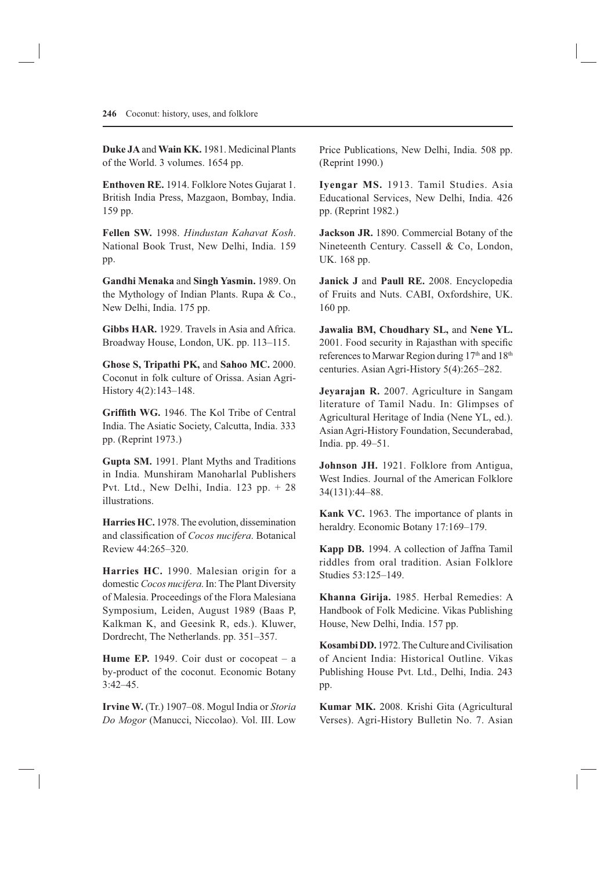**Duke JA** and **Wain KK.** 1981. Medicinal Plants of the World. 3 volumes. 1654 pp.

**Enthoven RE.** 1914. Folklore Notes Gujarat 1. British India Press, Mazgaon, Bombay, India. 159 pp.

**Fellen SW.** 1998. *Hindustan Kahavat Kosh*. National Book Trust, New Delhi, India. 159 pp.

**Gandhi Menaka** and **Singh Yasmin.** 1989. On the Mythology of Indian Plants. Rupa & Co., New Delhi, India. 175 pp.

**Gibbs HAR.** 1929. Travels in Asia and Africa. Broadway House, London, UK. pp. 113–115.

**Ghose S, Tripathi PK,** and **Sahoo MC.** 2000. Coconut in folk culture of Orissa. Asian Agri-History 4(2):143–148.

**Griffith WG.** 1946. The Kol Tribe of Central India. The Asiatic Society, Calcutta, India. 333 pp. (Reprint 1973.)

**Gupta SM.** 1991. Plant Myths and Traditions in India. Munshiram Manoharlal Publishers Pvt. Ltd., New Delhi, India. 123 pp. + 28 illustrations.

**Harries HC.** 1978. The evolution, dissemination and classification of *Cocos nucifera*. Botanical Review 44:265–320.

**Harries HC.** 1990. Malesian origin for a domestic *Cocos nucifera*. In: The Plant Diversity of Malesia. Proceedings of the Flora Malesiana Symposium, Leiden, August 1989 (Baas P, Kalkman K, and Geesink R, eds.). Kluwer, Dordrecht, The Netherlands. pp. 351–357.

**Hume EP.** 1949. Coir dust or cocopeat – a by-product of the coconut. Economic Botany 3:42–45.

**Irvine W.** (Tr.) 1907–08. Mogul India or *Storia Do Mogor* (Manucci, Niccolao). Vol. III. Low Price Publications, New Delhi, India. 508 pp. (Reprint 1990.)

**Iyengar MS.** 1913. Tamil Studies. Asia Educational Services, New Delhi, India. 426 pp. (Reprint 1982.)

**Jackson JR.** 1890. Commercial Botany of the Nineteenth Century. Cassell & Co, London, UK. 168 pp.

**Janick J** and **Paull RE.** 2008. Encyclopedia of Fruits and Nuts. CABI, Oxfordshire, UK. 160 pp.

**Jawalia BM, Choudhary SL,** and **Nene YL.**  2001. Food security in Rajasthan with specific references to Marwar Region during 17<sup>th</sup> and 18<sup>th</sup> centuries. Asian Agri-History 5(4):265–282.

**Jeyarajan R.** 2007. Agriculture in Sangam literature of Tamil Nadu. In: Glimpses of Agricultural Heritage of India (Nene YL, ed.). Asian Agri-History Foundation, Secunderabad, India. pp. 49–51.

**Johnson JH.** 1921. Folklore from Antigua, West Indies. Journal of the American Folklore 34(131):44–88.

**Kank VC.** 1963. The importance of plants in heraldry. Economic Botany 17:169-179.

**Kapp DB.** 1994. A collection of Jaffna Tamil riddles from oral tradition. Asian Folklore Studies 53:125–149.

**Khanna Girija.** 1985. Herbal Remedies: A Handbook of Folk Medicine. Vikas Publishing House, New Delhi, India. 157 pp.

**Kosambi DD.** 1972. The Culture and Civilisation of Ancient India: Historical Outline. Vikas Publishing House Pvt. Ltd., Delhi, India. 243 pp.

**Kumar MK.** 2008. Krishi Gita (Agricultural Verses). Agri-History Bulletin No. 7. Asian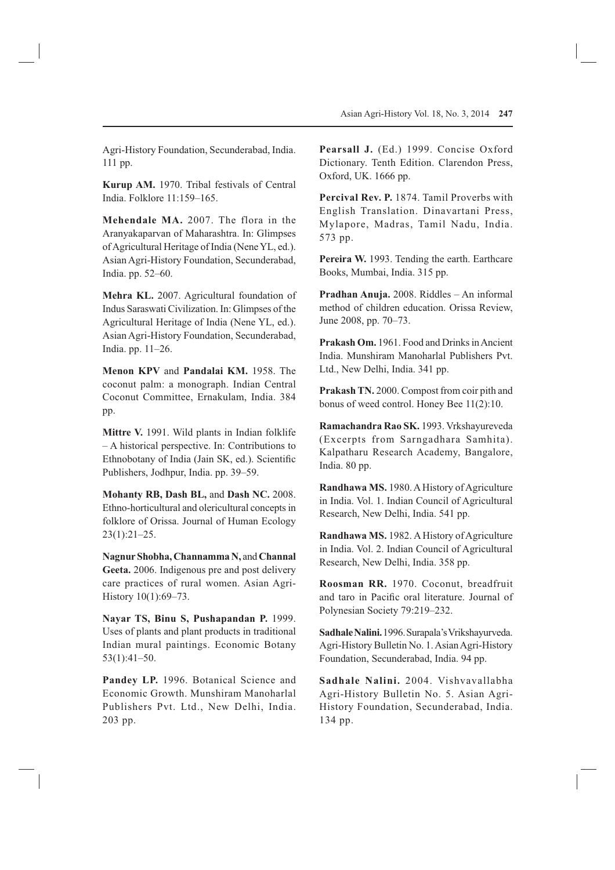Agri-History Foundation, Secunderabad, India. 111 pp.

**Kurup AM.** 1970. Tribal festivals of Central India. Folklore 11:159–165.

**Mehendale MA.** 2007. The flora in the Aranyakaparvan of Maharashtra. In: Glimpses of Agricultural Heritage of India (Nene YL, ed.). Asian Agri-History Foundation, Secunderabad, India. pp. 52–60.

**Mehra KL.** 2007. Agricultural foundation of Indus Saraswati Civilization. In: Glimpses of the Agricultural Heritage of India (Nene YL, ed.). Asian Agri-History Foundation, Secunderabad, India. pp. 11–26.

**Menon KPV** and **Pandalai KM.** 1958. The coconut palm: a monograph. Indian Central Coconut Committee, Ernakulam, India. 384 pp.

**Mittre V.** 1991. Wild plants in Indian folklife – A historical perspective. In: Contributions to Ethnobotany of India (Jain SK, ed.). Scientific Publishers, Jodhpur, India. pp. 39–59.

**Mohanty RB, Dash BL,** and **Dash NC.** 2008. Ethno-horticultural and olericultural concepts in folklore of Orissa. Journal of Human Ecology 23(1):21–25.

**Nagnur Shobha, Channamma N,** and **Channal Geeta.** 2006. Indigenous pre and post delivery care practices of rural women. Asian Agri-History 10(1):69–73.

**Nayar TS, Binu S, Pushapandan P.** 1999. Uses of plants and plant products in traditional Indian mural paintings. Economic Botany 53(1):41–50.

**Pandey LP.** 1996. Botanical Science and Economic Growth. Munshiram Manoharlal Publishers Pvt. Ltd., New Delhi, India. 203 pp.

**Pearsall J.** (Ed.) 1999. Concise Oxford Dictionary. Tenth Edition. Clarendon Press, Oxford, UK. 1666 pp.

**Percival Rev. P.** 1874. Tamil Proverbs with English Translation. Dinavartani Press, Mylapore, Madras, Tamil Nadu, India. 573 pp.

**Pereira W.** 1993. Tending the earth. Earthcare Books, Mumbai, India. 315 pp.

**Pradhan Anuja.** 2008. Riddles – An informal method of children education. Orissa Review, June 2008, pp. 70–73.

**Prakash Om.** 1961. Food and Drinks in Ancient India. Munshiram Manoharlal Publishers Pvt. Ltd., New Delhi, India. 341 pp.

**Prakash TN.** 2000. Compost from coir pith and bonus of weed control. Honey Bee 11(2):10.

**Ramachandra Rao SK.** 1993. Vrkshayureveda (Excerpts from Sarngadhara Samhita). Kalpatharu Research Academy, Bangalore, India. 80 pp.

**Randhawa MS.** 1980. A History of Agriculture in India. Vol. 1. Indian Council of Agricultural Research, New Delhi, India. 541 pp.

**Randhawa MS.** 1982. A History of Agriculture in India. Vol. 2. Indian Council of Agricultural Research, New Delhi, India. 358 pp.

**Roosman RR.** 1970. Coconut, breadfruit and taro in Pacific oral literature. Journal of Polynesian Society 79:219–232.

**Sadhale Nalini.** 1996.Surapala's Vrikshayurveda. Agri-History Bulletin No. 1. Asian Agri-History Foundation, Secunderabad, India. 94 pp.

**Sadhale Nalini.** 2004. Vishvavallabha Agri-History Bulletin No. 5. Asian Agri-History Foundation, Secunderabad, India. 134 pp.